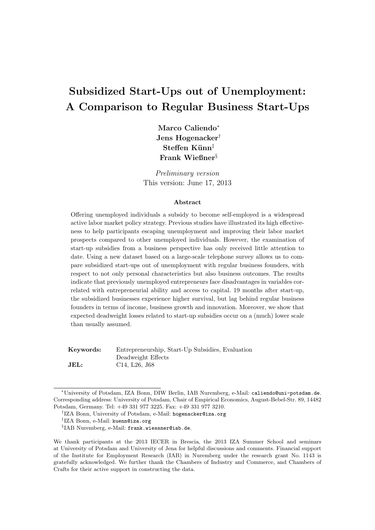# Subsidized Start-Ups out of Unemployment: A Comparison to Regular Business Start-Ups

Marco Caliendo<sup>∗</sup> Jens Hogenacker†  $Steffen$  Künn<sup>‡</sup> Frank Wießner§

Preliminary version This version: June 17, 2013

#### Abstract

Offering unemployed individuals a subsidy to become self-employed is a widespread active labor market policy strategy. Previous studies have illustrated its high effectiveness to help participants escaping unemployment and improving their labor market prospects compared to other unemployed individuals. However, the examination of start-up subsidies from a business perspective has only received little attention to date. Using a new dataset based on a large-scale telephone survey allows us to compare subsidized start-ups out of unemployment with regular business founders, with respect to not only personal characteristics but also business outcomes. The results indicate that previously unemployed entrepreneurs face disadvantages in variables correlated with entrepreneurial ability and access to capital. 19 months after start-up, the subsidized businesses experience higher survival, but lag behind regular business founders in terms of income, business growth and innovation. Moreover, we show that expected deadweight losses related to start-up subsidies occur on a (much) lower scale than usually assumed.

Keywords: Entrepreneurship, Start-Up Subsidies, Evaluation Deadweight Effects **JEL:** C14, L26, J68

<sup>∗</sup>University of Potsdam, IZA Bonn, DIW Berlin, IAB Nuremberg, e-Mail: caliendo@uni-potsdam.de. Corresponding address: University of Potsdam, Chair of Empirical Economics, August-Bebel-Str. 89, 14482 Potsdam, Germany. Tel: +49 331 977 3225. Fax: +49 331 977 3210.

<sup>†</sup> IZA Bonn, University of Potsdam, e-Mail: hogenacker@iza.org

<sup>‡</sup> IZA Bonn, e-Mail: kuenn@iza.org

 $\S$ IAB Nuremberg, e-Mail: frank.wiessner@iab.de.

We thank participants at the 2013 IECER in Brescia, the 2013 IZA Summer School and seminars at University of Potsdam and University of Jena for helpful discussions and comments. Financial support of the Institute for Employment Research (IAB) in Nuremberg under the research grant No. 1143 is gratefully acknowledged. We further thank the Chambers of Industry and Commerce, and Chambers of Crafts for their active support in constructing the data.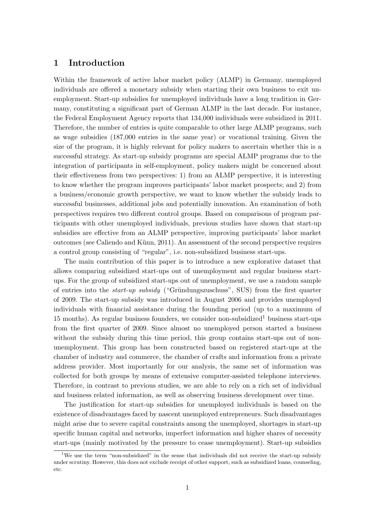## 1 Introduction

Within the framework of active labor market policy (ALMP) in Germany, unemployed individuals are offered a monetary subsidy when starting their own business to exit unemployment. Start-up subsidies for unemployed individuals have a long tradition in Germany, constituting a significant part of German ALMP in the last decade. For instance, the Federal Employment Agency reports that 134,000 individuals were subsidized in 2011. Therefore, the number of entries is quite comparable to other large ALMP programs, such as wage subsidies (187,000 entries in the same year) or vocational training. Given the size of the program, it is highly relevant for policy makers to ascertain whether this is a successful strategy. As start-up subsidy programs are special ALMP programs due to the integration of participants in self-employment, policy makers might be concerned about their effectiveness from two perspectives: 1) from an ALMP perspective, it is interesting to know whether the program improves participants' labor market prospects; and 2) from a business/economic growth perspective, we want to know whether the subsidy leads to successful businesses, additional jobs and potentially innovation. An examination of both perspectives requires two different control groups. Based on comparisons of program participants with other unemployed individuals, previous studies have shown that start-up subsidies are effective from an ALMP perspective, improving participants' labor market outcomes (see Caliendo and Künn, 2011). An assessment of the second perspective requires a control group consisting of "regular", i.e. non-subsidized business start-ups.

The main contribution of this paper is to introduce a new explorative dataset that allows comparing subsidized start-ups out of unemployment and regular business startups. For the group of subsidized start-ups out of unemployment, we use a random sample of entries into the *start-up subsidy* ("Gründungszuschuss", SUS) from the first quarter of 2009. The start-up subsidy was introduced in August 2006 and provides unemployed individuals with financial assistance during the founding period (up to a maximum of 15 months). As regular business founders, we consider non-subsidized<sup>1</sup> business start-ups from the first quarter of 2009. Since almost no unemployed person started a business without the subsidy during this time period, this group contains start-ups out of nonunemployment. This group has been constructed based on registered start-ups at the chamber of industry and commerce, the chamber of crafts and information from a private address provider. Most importantly for our analysis, the same set of information was collected for both groups by means of extensive computer-assisted telephone interviews. Therefore, in contrast to previous studies, we are able to rely on a rich set of individual and business related information, as well as observing business development over time.

The justification for start-up subsidies for unemployed individuals is based on the existence of disadvantages faced by nascent unemployed entrepreneurs. Such disadvantages might arise due to severe capital constraints among the unemployed, shortages in start-up specific human capital and networks, imperfect information and higher shares of necessity start-ups (mainly motivated by the pressure to cease unemployment). Start-up subsidies

<sup>&</sup>lt;sup>1</sup>We use the term "non-subsidized" in the sense that individuals did not receive the start-up subsidy under scrutiny. However, this does not exclude receipt of other support, such as subsidized loans, counseling, etc.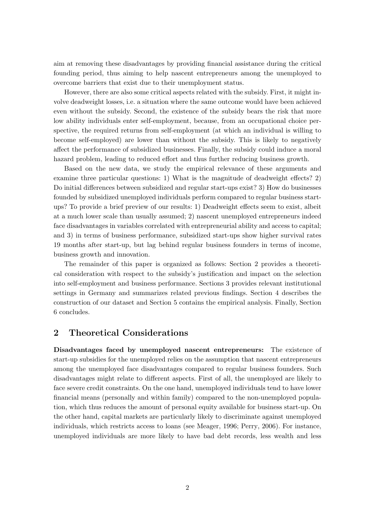aim at removing these disadvantages by providing financial assistance during the critical founding period, thus aiming to help nascent entrepreneurs among the unemployed to overcome barriers that exist due to their unemployment status.

However, there are also some critical aspects related with the subsidy. First, it might involve deadweight losses, i.e. a situation where the same outcome would have been achieved even without the subsidy. Second, the existence of the subsidy bears the risk that more low ability individuals enter self-employment, because, from an occupational choice perspective, the required returns from self-employment (at which an individual is willing to become self-employed) are lower than without the subsidy. This is likely to negatively affect the performance of subsidized businesses. Finally, the subsidy could induce a moral hazard problem, leading to reduced effort and thus further reducing business growth.

Based on the new data, we study the empirical relevance of these arguments and examine three particular questions: 1) What is the magnitude of deadweight effects? 2) Do initial differences between subsidized and regular start-ups exist? 3) How do businesses founded by subsidized unemployed individuals perform compared to regular business startups? To provide a brief preview of our results: 1) Deadweight effects seem to exist, albeit at a much lower scale than usually assumed; 2) nascent unemployed entrepreneurs indeed face disadvantages in variables correlated with entrepreneurial ability and access to capital; and 3) in terms of business performance, subsidized start-ups show higher survival rates 19 months after start-up, but lag behind regular business founders in terms of income, business growth and innovation.

The remainder of this paper is organized as follows: Section 2 provides a theoretical consideration with respect to the subsidy's justification and impact on the selection into self-employment and business performance. Sections 3 provides relevant institutional settings in Germany and summarizes related previous findings. Section 4 describes the construction of our dataset and Section 5 contains the empirical analysis. Finally, Section 6 concludes.

### 2 Theoretical Considerations

Disadvantages faced by unemployed nascent entrepreneurs: The existence of start-up subsidies for the unemployed relies on the assumption that nascent entrepreneurs among the unemployed face disadvantages compared to regular business founders. Such disadvantages might relate to different aspects. First of all, the unemployed are likely to face severe credit constraints. On the one hand, unemployed individuals tend to have lower financial means (personally and within family) compared to the non-unemployed population, which thus reduces the amount of personal equity available for business start-up. On the other hand, capital markets are particularly likely to discriminate against unemployed individuals, which restricts access to loans (see Meager, 1996; Perry, 2006). For instance, unemployed individuals are more likely to have bad debt records, less wealth and less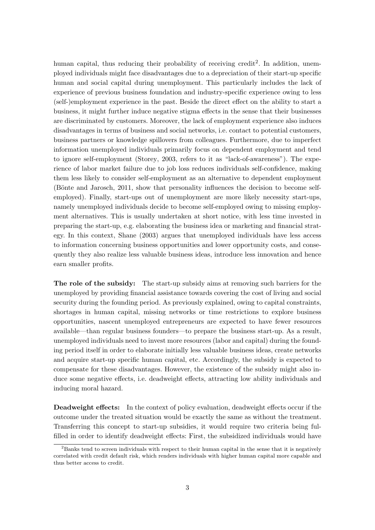human capital, thus reducing their probability of receiving credit<sup>2</sup>. In addition, unemployed individuals might face disadvantages due to a depreciation of their start-up specific human and social capital during unemployment. This particularly includes the lack of experience of previous business foundation and industry-specific experience owing to less (self-)employment experience in the past. Beside the direct effect on the ability to start a business, it might further induce negative stigma effects in the sense that their businesses are discriminated by customers. Moreover, the lack of employment experience also induces disadvantages in terms of business and social networks, i.e. contact to potential customers, business partners or knowledge spillovers from colleagues. Furthermore, due to imperfect information unemployed individuals primarily focus on dependent employment and tend to ignore self-employment (Storey, 2003, refers to it as "lack-of-awareness"). The experience of labor market failure due to job loss reduces individuals self-confidence, making them less likely to consider self-employment as an alternative to dependent employment (Bönte and Jarosch, 2011, show that personality influences the decision to become selfemployed). Finally, start-ups out of unemployment are more likely necessity start-ups, namely unemployed individuals decide to become self-employed owing to missing employment alternatives. This is usually undertaken at short notice, with less time invested in preparing the start-up, e.g. elaborating the business idea or marketing and financial strategy. In this context, Shane (2003) argues that unemployed individuals have less access to information concerning business opportunities and lower opportunity costs, and consequently they also realize less valuable business ideas, introduce less innovation and hence earn smaller profits.

The role of the subsidy: The start-up subsidy aims at removing such barriers for the unemployed by providing financial assistance towards covering the cost of living and social security during the founding period. As previously explained, owing to capital constraints, shortages in human capital, missing networks or time restrictions to explore business opportunities, nascent unemployed entrepreneurs are expected to have fewer resources available—than regular business founders—to prepare the business start-up. As a result, unemployed individuals need to invest more resources (labor and capital) during the founding period itself in order to elaborate initially less valuable business ideas, create networks and acquire start-up specific human capital, etc. Accordingly, the subsidy is expected to compensate for these disadvantages. However, the existence of the subsidy might also induce some negative effects, i.e. deadweight effects, attracting low ability individuals and inducing moral hazard.

Deadweight effects: In the context of policy evaluation, deadweight effects occur if the outcome under the treated situation would be exactly the same as without the treatment. Transferring this concept to start-up subsidies, it would require two criteria being fulfilled in order to identify deadweight effects: First, the subsidized individuals would have

 $^{2}$ Banks tend to screen individuals with respect to their human capital in the sense that it is negatively correlated with credit default risk, which renders individuals with higher human capital more capable and thus better access to credit.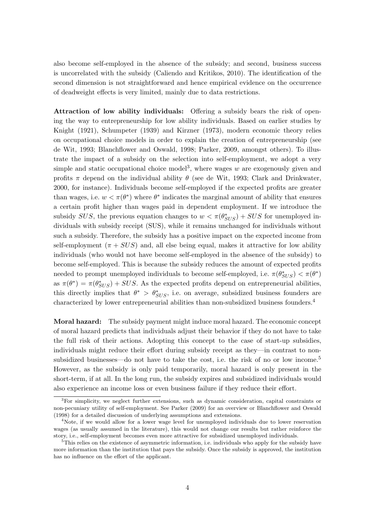also become self-employed in the absence of the subsidy; and second, business success is uncorrelated with the subsidy (Caliendo and Kritikos, 2010). The identification of the second dimension is not straightforward and hence empirical evidence on the occurrence of deadweight effects is very limited, mainly due to data restrictions.

Attraction of low ability individuals: Offering a subsidy bears the risk of opening the way to entrepreneurship for low ability individuals. Based on earlier studies by Knight (1921), Schumpeter (1939) and Kirzner (1973), modern economic theory relies on occupational choice models in order to explain the creation of entrepreneurship (see de Wit, 1993; Blanchflower and Oswald, 1998; Parker, 2009, amongst others). To illustrate the impact of a subsidy on the selection into self-employment, we adopt a very simple and static occupational choice model<sup>3</sup>, where wages  $w$  are exogenously given and profits  $\pi$  depend on the individual ability  $\theta$  (see de Wit, 1993; Clark and Drinkwater, 2000, for instance). Individuals become self-employed if the expected profits are greater than wages, i.e.  $w < \pi(\theta^*)$  where  $\theta^*$  indicates the marginal amount of ability that ensures a certain profit higher than wages paid in dependent employment. If we introduce the subsidy  $SUS$ , the previous equation changes to  $w < \pi(\theta_{SUS}^*) + SUS$  for unemployed individuals with subsidy receipt (SUS), while it remains unchanged for individuals without such a subsidy. Therefore, the subsidy has a positive impact on the expected income from self-employment  $(\pi + SUS)$  and, all else being equal, makes it attractive for low ability individuals (who would not have become self-employed in the absence of the subsidy) to become self-employed. This is because the subsidy reduces the amount of expected profits needed to prompt unemployed individuals to become self-employed, i.e.  $\pi(\theta^*_{SUS}) < \pi(\theta^*)$ as  $\pi(\theta^*) = \pi(\theta^*_{SUS}) + SUS$ . As the expected profits depend on entrepreneurial abilities, this directly implies that  $\theta^* > \theta^*_{SUS}$ , i.e. on average, subsidized business founders are characterized by lower entrepreneurial abilities than non-subsidized business founders.<sup>4</sup>

Moral hazard: The subsidy payment might induce moral hazard. The economic concept of moral hazard predicts that individuals adjust their behavior if they do not have to take the full risk of their actions. Adopting this concept to the case of start-up subsidies, individuals might reduce their effort during subsidy receipt as they—in contrast to nonsubsidized businesses—do not have to take the cost, i.e. the risk of no or low income.<sup>5</sup> However, as the subsidy is only paid temporarily, moral hazard is only present in the short-term, if at all. In the long run, the subsidy expires and subsidized individuals would also experience an income loss or even business failure if they reduce their effort.

<sup>&</sup>lt;sup>3</sup>For simplicity, we neglect further extensions, such as dynamic consideration, capital constraints or non-pecuniary utility of self-employment. See Parker (2009) for an overview or Blanchflower and Oswald (1998) for a detailed discussion of underlying assumptions and extensions.

<sup>&</sup>lt;sup>4</sup>Note, if we would allow for a lower wage level for unemployed individuals due to lower reservation wages (as usually assumed in the literature), this would not change our results but rather reinforce the story, i.e., self-employment becomes even more attractive for subsidized unemployed individuals.

 $5$ This relies on the existence of asymmetric information, i.e. individuals who apply for the subsidy have more information than the institution that pays the subsidy. Once the subsidy is approved, the institution has no influence on the effort of the applicant.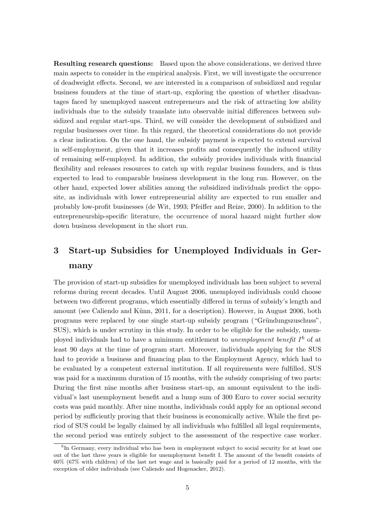Resulting research questions: Based upon the above considerations, we derived three main aspects to consider in the empirical analysis. First, we will investigate the occurrence of deadweight effects. Second, we are interested in a comparison of subsidized and regular business founders at the time of start-up, exploring the question of whether disadvantages faced by unemployed nascent entrepreneurs and the risk of attracting low ability individuals due to the subsidy translate into observable initial differences between subsidized and regular start-ups. Third, we will consider the development of subsidized and regular businesses over time. In this regard, the theoretical considerations do not provide a clear indication. On the one hand, the subsidy payment is expected to extend survival in self-employment, given that it increases profits and consequently the induced utility of remaining self-employed. In addition, the subsidy provides individuals with financial flexibility and releases resources to catch up with regular business founders, and is thus expected to lead to comparable business development in the long run. However, on the other hand, expected lower abilities among the subsidized individuals predict the opposite, as individuals with lower entrepreneurial ability are expected to run smaller and probably low-profit businesses (de Wit, 1993; Pfeiffer and Reize, 2000). In addition to the entrepreneurship-specific literature, the occurrence of moral hazard might further slow down business development in the short run.

## 3 Start-up Subsidies for Unemployed Individuals in Germany

The provision of start-up subsidies for unemployed individuals has been subject to several reforms during recent decades. Until August 2006, unemployed individuals could choose between two different programs, which essentially differed in terms of subsidy's length and amount (see Caliendo and Künn, 2011, for a description). However, in August 2006, both programs were replaced by one single start-up subsidy program ("Gründungszuschuss", SUS), which is under scrutiny in this study. In order to be eligible for the subsidy, unemployed individuals had to have a minimum entitlement to unemployment benefit  $I^6$  of at least 90 days at the time of program start. Moreover, individuals applying for the SUS had to provide a business and financing plan to the Employment Agency, which had to be evaluated by a competent external institution. If all requirements were fulfilled, SUS was paid for a maximum duration of 15 months, with the subsidy comprising of two parts: During the first nine months after business start-up, an amount equivalent to the individual's last unemployment benefit and a lump sum of 300 Euro to cover social security costs was paid monthly. After nine months, individuals could apply for an optional second period by sufficiently proving that their business is economically active. While the first period of SUS could be legally claimed by all individuals who fulfilled all legal requirements, the second period was entirely subject to the assessment of the respective case worker.

<sup>&</sup>lt;sup>6</sup>In Germany, every individual who has been in employment subject to social security for at least one out of the last three years is eligible for unemployment benefit I. The amount of the benefit consists of 60% (67% with children) of the last net wage and is basically paid for a period of 12 months, with the exception of older individuals (see Caliendo and Hogenacker, 2012).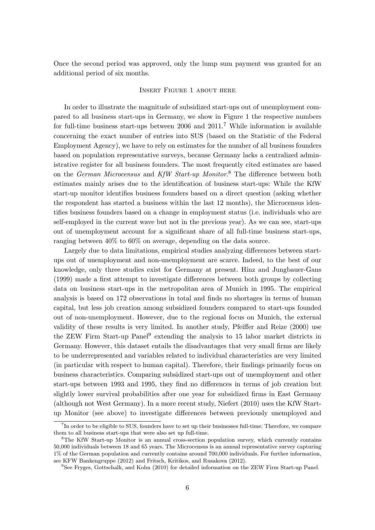Once the second period was approved, only the lump sum payment was granted for an additional period of six months.

#### Insert Figure 1 about here

In order to illustrate the magnitude of subsidized start-ups out of unemployment compared to all business start-ups in Germany, we show in Figure 1 the respective numbers for full-time business start-ups between 2006 and  $2011$ .<sup>7</sup> While information is available concerning the exact number of entries into SUS (based on the Statistic of the Federal Employment Agency), we have to rely on estimates for the number of all business founders based on population representative surveys, because Germany lacks a centralized administrative register for all business founders. The most frequently cited estimates are based on the *German Microcensus* and KfW Start-up Monitor.<sup>8</sup> The difference between both estimates mainly arises due to the identification of business start-ups: While the KfW start-up monitor identifies business founders based on a direct question (asking whether the respondent has started a business within the last 12 months), the Microcensus identifies business founders based on a change in employment status (i.e. individuals who are self-employed in the current wave but not in the previous year). As we can see, start-ups out of unemployment account for a significant share of all full-time business start-ups, ranging between 40% to 60% on average, depending on the data source.

Largely due to data limitations, empirical studies analyzing differences between startups out of unemployment and non-unemployment are scarce. Indeed, to the best of our knowledge, only three studies exist for Germany at present. Hinz and Jungbauer-Gans (1999) made a first attempt to investigate differences between both groups by collecting data on business start-ups in the metropolitan area of Munich in 1995. The empirical analysis is based on 172 observations in total and finds no shortages in terms of human capital, but less job creation among subsidized founders compared to start-ups founded out of non-unemployment. However, due to the regional focus on Munich, the external validity of these results is very limited. In another study, Pfeiffer and Reize (2000) use the ZEW Firm Start-up Panel<sup>9</sup> extending the analysis to 15 labor market districts in Germany. However, this dataset entails the disadvantages that very small firms are likely to be underrepresented and variables related to individual characteristics are very limited (in particular with respect to human capital). Therefore, their findings primarily focus on business characteristics. Comparing subsidized start-ups out of unemployment and other start-ups between 1993 and 1995, they find no differences in terms of job creation but slightly lower survival probabilities after one year for subsidized firms in East Germany (although not West Germany). In a more recent study, Niefert (2010) uses the KfW Startup Monitor (see above) to investigate differences between previously unemployed and

<sup>&</sup>lt;sup>7</sup>In order to be eligible to SUS, founders have to set up their businesses full-time. Therefore, we compare them to all business start-ups that were also set up full-time.

<sup>8</sup>The KfW Start-up Monitor is an annual cross-section population survey, which currently contains 50,000 individuals between 18 and 65 years. The Microcensus is an annual representative survey capturing 1% of the German population and currently contains around 700,000 individuals. For further information, see KFW Bankengruppe (2012) and Fritsch, Kritikos, and Rusakova (2012).

<sup>9</sup>See Fryges, Gottschalk, and Kohn (2010) for detailed information on the ZEW Firm Start-up Panel.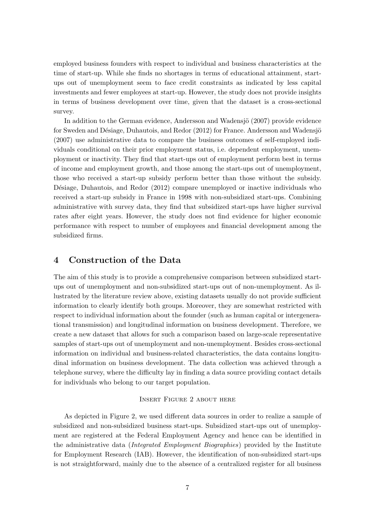employed business founders with respect to individual and business characteristics at the time of start-up. While she finds no shortages in terms of educational attainment, startups out of unemployment seem to face credit constraints as indicated by less capital investments and fewer employees at start-up. However, the study does not provide insights in terms of business development over time, given that the dataset is a cross-sectional survey.

In addition to the German evidence, Andersson and Wadensjö (2007) provide evidence for Sweden and Désiage, Duhautois, and Redor (2012) for France. Andersson and Wadensjö (2007) use administrative data to compare the business outcomes of self-employed individuals conditional on their prior employment status, i.e. dependent employment, unemployment or inactivity. They find that start-ups out of employment perform best in terms of income and employment growth, and those among the start-ups out of unemployment, those who received a start-up subsidy perform better than those without the subsidy. Désiage, Duhautois, and Redor (2012) compare unemployed or inactive individuals who received a start-up subsidy in France in 1998 with non-subsidized start-ups. Combining administrative with survey data, they find that subsidized start-ups have higher survival rates after eight years. However, the study does not find evidence for higher economic performance with respect to number of employees and financial development among the subsidized firms.

## 4 Construction of the Data

The aim of this study is to provide a comprehensive comparison between subsidized startups out of unemployment and non-subsidized start-ups out of non-unemployment. As illustrated by the literature review above, existing datasets usually do not provide sufficient information to clearly identify both groups. Moreover, they are somewhat restricted with respect to individual information about the founder (such as human capital or intergenerational transmission) and longitudinal information on business development. Therefore, we create a new dataset that allows for such a comparison based on large-scale representative samples of start-ups out of unemployment and non-unemployment. Besides cross-sectional information on individual and business-related characteristics, the data contains longitudinal information on business development. The data collection was achieved through a telephone survey, where the difficulty lay in finding a data source providing contact details for individuals who belong to our target population.

#### Insert Figure 2 about here

As depicted in Figure 2, we used different data sources in order to realize a sample of subsidized and non-subsidized business start-ups. Subsidized start-ups out of unemployment are registered at the Federal Employment Agency and hence can be identified in the administrative data *(Integrated Employment Biographies)* provided by the Institute for Employment Research (IAB). However, the identification of non-subsidized start-ups is not straightforward, mainly due to the absence of a centralized register for all business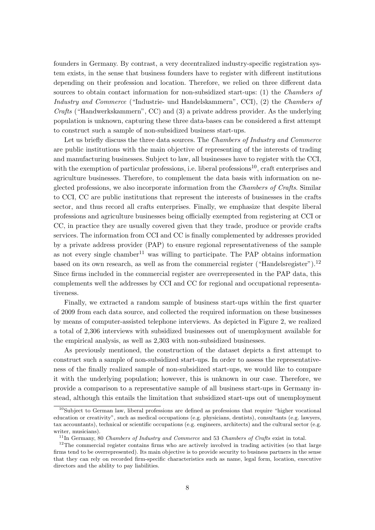founders in Germany. By contrast, a very decentralized industry-specific registration system exists, in the sense that business founders have to register with different institutions depending on their profession and location. Therefore, we relied on three different data sources to obtain contact information for non-subsidized start-ups: (1) the Chambers of Industry and Commerce ("Industrie- und Handelskammern", CCI), (2) the Chambers of Crafts ("Handwerkskammern", CC) and (3) a private address provider. As the underlying population is unknown, capturing these three data-bases can be considered a first attempt to construct such a sample of non-subsidized business start-ups.

Let us briefly discuss the three data sources. The *Chambers of Industry and Commerce* are public institutions with the main objective of representing of the interests of trading and manufacturing businesses. Subject to law, all businesses have to register with the CCI, with the exemption of particular professions, i.e. liberal professions<sup>10</sup>, craft enterprises and agriculture businesses. Therefore, to complement the data basis with information on neglected professions, we also incorporate information from the *Chambers of Crafts*. Similar to CCI, CC are public institutions that represent the interests of businesses in the crafts sector, and thus record all crafts enterprises. Finally, we emphasize that despite liberal professions and agriculture businesses being officially exempted from registering at CCI or CC, in practice they are usually covered given that they trade, produce or provide crafts services. The information from CCI and CC is finally complemented by addresses provided by a private address provider (PAP) to ensure regional representativeness of the sample as not every single chamber<sup>11</sup> was willing to participate. The PAP obtains information based on its own research, as well as from the commercial register ("Handelsregister").<sup>12</sup> Since firms included in the commercial register are overrepresented in the PAP data, this complements well the addresses by CCI and CC for regional and occupational representativeness.

Finally, we extracted a random sample of business start-ups within the first quarter of 2009 from each data source, and collected the required information on these businesses by means of computer-assisted telephone interviews. As depicted in Figure 2, we realized a total of 2,306 interviews with subsidized businesses out of unemployment available for the empirical analysis, as well as 2,303 with non-subsidized businesses.

As previously mentioned, the construction of the dataset depicts a first attempt to construct such a sample of non-subsidized start-ups. In order to assess the representativeness of the finally realized sample of non-subsidized start-ups, we would like to compare it with the underlying population; however, this is unknown in our case. Therefore, we provide a comparison to a representative sample of all business start-ups in Germany instead, although this entails the limitation that subsidized start-ups out of unemployment

<sup>10</sup>Subject to German law, liberal professions are defined as professions that require "higher vocational education or creativity", such as medical occupations (e.g. physicians, dentists), consultants (e.g. lawyers, tax accountants), technical or scientific occupations (e.g. engineers, architects) and the cultural sector (e.g. writer, musicians).

 $11$ In Germany, 80 *Chambers of Industry and Commerce* and 53 *Chambers of Crafts* exist in total.

<sup>&</sup>lt;sup>12</sup>The commercial register contains firms who are actively involved in trading activities (so that large firms tend to be overrepresented). Its main objective is to provide security to business partners in the sense that they can rely on recorded firm-specific characteristics such as name, legal form, location, executive directors and the ability to pay liabilities.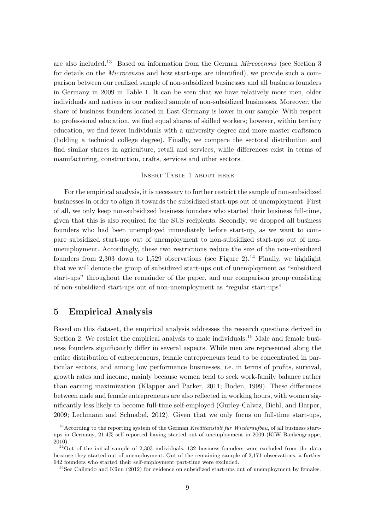are also included.<sup>13</sup> Based on information from the German *Mircocensus* (see Section 3) for details on the *Microcensus* and how start-ups are identified), we provide such a comparison between our realized sample of non-subsidized businesses and all business founders in Germany in 2009 in Table 1. It can be seen that we have relatively more men, older individuals and natives in our realized sample of non-subsidized businesses. Moreover, the share of business founders located in East Germany is lower in our sample. With respect to professional education, we find equal shares of skilled workers; however, within tertiary education, we find fewer individuals with a university degree and more master craftsmen (holding a technical college degree). Finally, we compare the sectoral distribution and find similar shares in agriculture, retail and services, while differences exist in terms of manufacturing, construction, crafts, services and other sectors.

#### Insert Table 1 about here

For the empirical analysis, it is necessary to further restrict the sample of non-subsidized businesses in order to align it towards the subsidized start-ups out of unemployment. First of all, we only keep non-subsidized business founders who started their business full-time, given that this is also required for the SUS recipients. Secondly, we dropped all business founders who had been unemployed immediately before start-up, as we want to compare subsidized start-ups out of unemployment to non-subsidized start-ups out of nonunemployment. Accordingly, these two restrictions reduce the size of the non-subsidized founders from 2,303 down to 1,529 observations (see Figure 2).<sup>14</sup> Finally, we highlight that we will denote the group of subsidized start-ups out of unemployment as "subsidized start-ups" throughout the remainder of the paper, and our comparison group consisting of non-subsidized start-ups out of non-unemployment as "regular start-ups".

## 5 Empirical Analysis

Based on this dataset, the empirical analysis addresses the research questions derived in Section 2. We restrict the empirical analysis to male individuals.<sup>15</sup> Male and female business founders significantly differ in several aspects. While men are represented along the entire distribution of entrepreneurs, female entrepreneurs tend to be concentrated in particular sectors, and among low performance businesses, i.e. in terms of profits, survival, growth rates and income, mainly because women tend to seek work-family balance rather than earning maximization (Klapper and Parker, 2011; Boden, 1999). These differences between male and female entrepreneurs are also reflected in working hours, with women significantly less likely to become full-time self-employed (Gurley-Calvez, Biehl, and Harper, 2009; Lechmann and Schnabel, 2012). Given that we only focus on full-time start-ups,

 $13$ According to the reporting system of the German Kreditanstalt für Wiederaufbau, of all business startups in Germany, 21.4% self-reported having started out of unemployment in 2009 (KfW Bankengruppe, 2010).

 $14$ Out of the initial sample of 2,303 individuals, 132 business founders were excluded from the data because they started out of unemployment. Out of the remaining sample of 2,171 observations, a further 642 founders who started their self-employment part-time were excluded.

 $15$ See Caliendo and Künn (2012) for evidence on subsidized start-ups out of unemployment by females.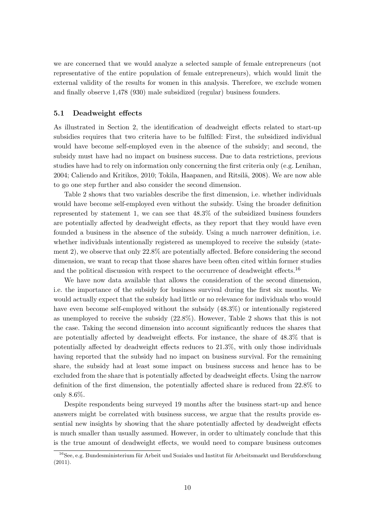we are concerned that we would analyze a selected sample of female entrepreneurs (not representative of the entire population of female entrepreneurs), which would limit the external validity of the results for women in this analysis. Therefore, we exclude women and finally observe 1,478 (930) male subsidized (regular) business founders.

#### 5.1 Deadweight effects

As illustrated in Section 2, the identification of deadweight effects related to start-up subsidies requires that two criteria have to be fulfilled: First, the subsidized individual would have become self-employed even in the absence of the subsidy; and second, the subsidy must have had no impact on business success. Due to data restrictions, previous studies have had to rely on information only concerning the first criteria only (e.g. Lenihan, 2004; Caliendo and Kritikos, 2010; Tokila, Haapanen, and Ritsilä, 2008). We are now able to go one step further and also consider the second dimension.

Table 2 shows that two variables describe the first dimension, i.e. whether individuals would have become self-employed even without the subsidy. Using the broader definition represented by statement 1, we can see that 48.3% of the subsidized business founders are potentially affected by deadweight effects, as they report that they would have even founded a business in the absence of the subsidy. Using a much narrower definition, i.e. whether individuals intentionally registered as unemployed to receive the subsidy (statement 2), we observe that only 22.8% are potentially affected. Before considering the second dimension, we want to recap that those shares have been often cited within former studies and the political discussion with respect to the occurrence of deadweight effects.<sup>16</sup>

We have now data available that allows the consideration of the second dimension, i.e. the importance of the subsidy for business survival during the first six months. We would actually expect that the subsidy had little or no relevance for individuals who would have even become self-employed without the subsidy (48.3%) or intentionally registered as unemployed to receive the subsidy (22.8%). However, Table 2 shows that this is not the case. Taking the second dimension into account significantly reduces the shares that are potentially affected by deadweight effects. For instance, the share of 48.3% that is potentially affected by deadweight effects reduces to 21.3%, with only those individuals having reported that the subsidy had no impact on business survival. For the remaining share, the subsidy had at least some impact on business success and hence has to be excluded from the share that is potentially affected by deadweight effects. Using the narrow definition of the first dimension, the potentially affected share is reduced from 22.8% to only 8.6%.

Despite respondents being surveyed 19 months after the business start-up and hence answers might be correlated with business success, we argue that the results provide essential new insights by showing that the share potentially affected by deadweight effects is much smaller than usually assumed. However, in order to ultimately conclude that this is the true amount of deadweight effects, we would need to compare business outcomes

 $16$ See, e.g. Bundesministerium für Arbeit und Soziales und Institut für Arbeitsmarkt und Berufsforschung (2011).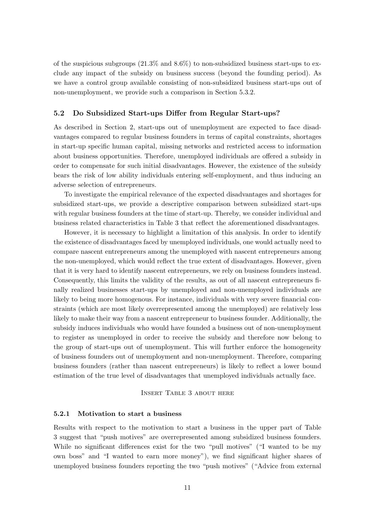of the suspicious subgroups  $(21.3\%$  and  $8.6\%)$  to non-subsidized business start-ups to exclude any impact of the subsidy on business success (beyond the founding period). As we have a control group available consisting of non-subsidized business start-ups out of non-unemployment, we provide such a comparison in Section 5.3.2.

#### 5.2 Do Subsidized Start-ups Differ from Regular Start-ups?

As described in Section 2, start-ups out of unemployment are expected to face disadvantages compared to regular business founders in terms of capital constraints, shortages in start-up specific human capital, missing networks and restricted access to information about business opportunities. Therefore, unemployed individuals are offered a subsidy in order to compensate for such initial disadvantages. However, the existence of the subsidy bears the risk of low ability individuals entering self-employment, and thus inducing an adverse selection of entrepreneurs.

To investigate the empirical relevance of the expected disadvantages and shortages for subsidized start-ups, we provide a descriptive comparison between subsidized start-ups with regular business founders at the time of start-up. Thereby, we consider individual and business related characteristics in Table 3 that reflect the aforementioned disadvantages.

However, it is necessary to highlight a limitation of this analysis. In order to identify the existence of disadvantages faced by unemployed individuals, one would actually need to compare nascent entrepreneurs among the unemployed with nascent entrepreneurs among the non-unemployed, which would reflect the true extent of disadvantages. However, given that it is very hard to identify nascent entrepreneurs, we rely on business founders instead. Consequently, this limits the validity of the results, as out of all nascent entrepreneurs finally realized businesses start-ups by unemployed and non-unemployed individuals are likely to being more homogenous. For instance, individuals with very severe financial constraints (which are most likely overrepresented among the unemployed) are relatively less likely to make their way from a nascent entrepreneur to business founder. Additionally, the subsidy induces individuals who would have founded a business out of non-unemployment to register as unemployed in order to receive the subsidy and therefore now belong to the group of start-ups out of unemployment. This will further enforce the homogeneity of business founders out of unemployment and non-unemployment. Therefore, comparing business founders (rather than nascent entrepreneurs) is likely to reflect a lower bound estimation of the true level of disadvantages that unemployed individuals actually face.

#### Insert Table 3 about here

#### 5.2.1 Motivation to start a business

Results with respect to the motivation to start a business in the upper part of Table 3 suggest that "push motives" are overrepresented among subsidized business founders. While no significant differences exist for the two "pull motives" ("I wanted to be my own boss" and "I wanted to earn more money"), we find significant higher shares of unemployed business founders reporting the two "push motives" ("Advice from external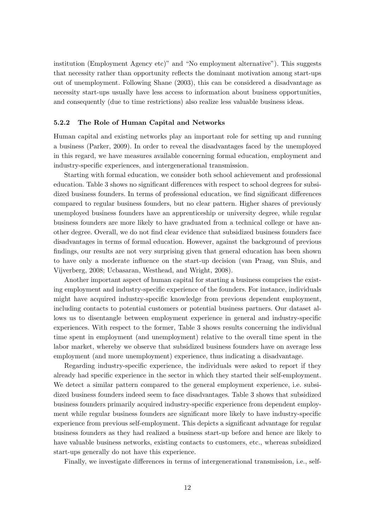institution (Employment Agency etc)" and "No employment alternative"). This suggests that necessity rather than opportunity reflects the dominant motivation among start-ups out of unemployment. Following Shane (2003), this can be considered a disadvantage as necessity start-ups usually have less access to information about business opportunities, and consequently (due to time restrictions) also realize less valuable business ideas.

#### 5.2.2 The Role of Human Capital and Networks

Human capital and existing networks play an important role for setting up and running a business (Parker, 2009). In order to reveal the disadvantages faced by the unemployed in this regard, we have measures available concerning formal education, employment and industry-specific experiences, and intergenerational transmission.

Starting with formal education, we consider both school achievement and professional education. Table 3 shows no significant differences with respect to school degrees for subsidized business founders. In terms of professional education, we find significant differences compared to regular business founders, but no clear pattern. Higher shares of previously unemployed business founders have an apprenticeship or university degree, while regular business founders are more likely to have graduated from a technical college or have another degree. Overall, we do not find clear evidence that subsidized business founders face disadvantages in terms of formal education. However, against the background of previous findings, our results are not very surprising given that general education has been shown to have only a moderate influence on the start-up decision (van Praag, van Sluis, and Vijverberg, 2008; Ucbasaran, Westhead, and Wright, 2008).

Another important aspect of human capital for starting a business comprises the existing employment and industry-specific experience of the founders. For instance, individuals might have acquired industry-specific knowledge from previous dependent employment, including contacts to potential customers or potential business partners. Our dataset allows us to disentangle between employment experience in general and industry-specific experiences. With respect to the former, Table 3 shows results concerning the individual time spent in employment (and unemployment) relative to the overall time spent in the labor market, whereby we observe that subsidized business founders have on average less employment (and more unemployment) experience, thus indicating a disadvantage.

Regarding industry-specific experience, the individuals were asked to report if they already had specific experience in the sector in which they started their self-employment. We detect a similar pattern compared to the general employment experience, i.e. subsidized business founders indeed seem to face disadvantages. Table 3 shows that subsidized business founders primarily acquired industry-specific experience from dependent employment while regular business founders are significant more likely to have industry-specific experience from previous self-employment. This depicts a significant advantage for regular business founders as they had realized a business start-up before and hence are likely to have valuable business networks, existing contacts to customers, etc., whereas subsidized start-ups generally do not have this experience.

Finally, we investigate differences in terms of intergenerational transmission, i.e., self-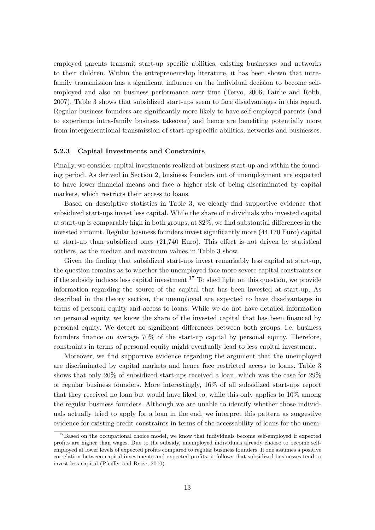employed parents transmit start-up specific abilities, existing businesses and networks to their children. Within the entrepreneurship literature, it has been shown that intrafamily transmission has a significant influence on the individual decision to become selfemployed and also on business performance over time (Tervo, 2006; Fairlie and Robb, 2007). Table 3 shows that subsidized start-ups seem to face disadvantages in this regard. Regular business founders are significantly more likely to have self-employed parents (and to experience intra-family business takeover) and hence are benefiting potentially more from intergenerational transmission of start-up specific abilities, networks and businesses.

#### 5.2.3 Capital Investments and Constraints

Finally, we consider capital investments realized at business start-up and within the founding period. As derived in Section 2, business founders out of unemployment are expected to have lower financial means and face a higher risk of being discriminated by capital markets, which restricts their access to loans.

Based on descriptive statistics in Table 3, we clearly find supportive evidence that subsidized start-ups invest less capital. While the share of individuals who invested capital at start-up is comparably high in both groups, at 82%, we find substantial differences in the invested amount. Regular business founders invest significantly more (44,170 Euro) capital at start-up than subsidized ones (21,740 Euro). This effect is not driven by statistical outliers, as the median and maximum values in Table 3 show.

Given the finding that subsidized start-ups invest remarkably less capital at start-up, the question remains as to whether the unemployed face more severe capital constraints or if the subsidy induces less capital investment.<sup>17</sup> To shed light on this question, we provide information regarding the source of the capital that has been invested at start-up. As described in the theory section, the unemployed are expected to have disadvantages in terms of personal equity and access to loans. While we do not have detailed information on personal equity, we know the share of the invested capital that has been financed by personal equity. We detect no significant differences between both groups, i.e. business founders finance on average 70% of the start-up capital by personal equity. Therefore, constraints in terms of personal equity might eventually lead to less capital investment.

Moreover, we find supportive evidence regarding the argument that the unemployed are discriminated by capital markets and hence face restricted access to loans. Table 3 shows that only 20% of subsidized start-ups received a loan, which was the case for 29% of regular business founders. More interestingly, 16% of all subsidized start-ups report that they received no loan but would have liked to, while this only applies to 10% among the regular business founders. Although we are unable to identify whether those individuals actually tried to apply for a loan in the end, we interpret this pattern as suggestive evidence for existing credit constraints in terms of the accessability of loans for the unem-

<sup>&</sup>lt;sup>17</sup>Based on the occupational choice model, we know that individuals become self-employed if expected profits are higher than wages. Due to the subsidy, unemployed individuals already choose to become selfemployed at lower levels of expected profits compared to regular business founders. If one assumes a positive correlation between capital investments and expected profits, it follows that subsidized businesses tend to invest less capital (Pfeiffer and Reize, 2000).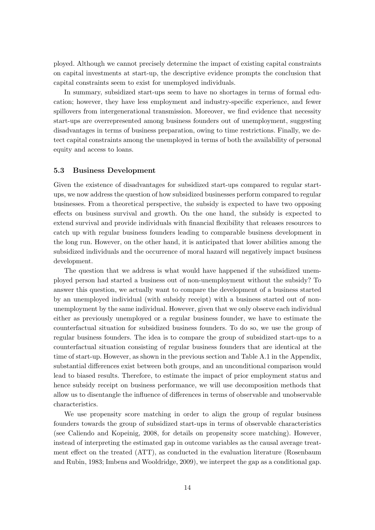ployed. Although we cannot precisely determine the impact of existing capital constraints on capital investments at start-up, the descriptive evidence prompts the conclusion that capital constraints seem to exist for unemployed individuals.

In summary, subsidized start-ups seem to have no shortages in terms of formal education; however, they have less employment and industry-specific experience, and fewer spillovers from intergenerational transmission. Moreover, we find evidence that necessity start-ups are overrepresented among business founders out of unemployment, suggesting disadvantages in terms of business preparation, owing to time restrictions. Finally, we detect capital constraints among the unemployed in terms of both the availability of personal equity and access to loans.

#### 5.3 Business Development

Given the existence of disadvantages for subsidized start-ups compared to regular startups, we now address the question of how subsidized businesses perform compared to regular businesses. From a theoretical perspective, the subsidy is expected to have two opposing effects on business survival and growth. On the one hand, the subsidy is expected to extend survival and provide individuals with financial flexibility that releases resources to catch up with regular business founders leading to comparable business development in the long run. However, on the other hand, it is anticipated that lower abilities among the subsidized individuals and the occurrence of moral hazard will negatively impact business development.

The question that we address is what would have happened if the subsidized unemployed person had started a business out of non-unemployment without the subsidy? To answer this question, we actually want to compare the development of a business started by an unemployed individual (with subsidy receipt) with a business started out of nonunemployment by the same individual. However, given that we only observe each individual either as previously unemployed or a regular business founder, we have to estimate the counterfactual situation for subsidized business founders. To do so, we use the group of regular business founders. The idea is to compare the group of subsidized start-ups to a counterfactual situation consisting of regular business founders that are identical at the time of start-up. However, as shown in the previous section and Table A.1 in the Appendix, substantial differences exist between both groups, and an unconditional comparison would lead to biased results. Therefore, to estimate the impact of prior employment status and hence subsidy receipt on business performance, we will use decomposition methods that allow us to disentangle the influence of differences in terms of observable and unobservable characteristics.

We use propensity score matching in order to align the group of regular business founders towards the group of subsidized start-ups in terms of observable characteristics (see Caliendo and Kopeinig, 2008, for details on propensity score matching). However, instead of interpreting the estimated gap in outcome variables as the causal average treatment effect on the treated (ATT), as conducted in the evaluation literature (Rosenbaum and Rubin, 1983; Imbens and Wooldridge, 2009), we interpret the gap as a conditional gap.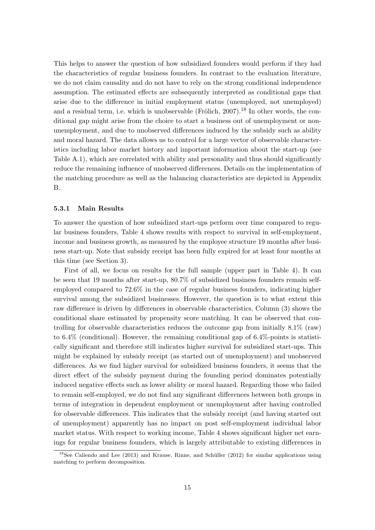This helps to answer the question of how subsidized founders would perform if they had the characteristics of regular business founders. In contrast to the evaluation literature, we do not claim causality and do not have to rely on the strong conditional independence assumption. The estimated effects are subsequently interpreted as conditional gaps that arise due to the difference in initial employment status (unemployed, not unemployed) and a residual term, i.e. which is unobservable (Frölich,  $2007$ ).<sup>18</sup> In other words, the conditional gap might arise from the choice to start a business out of unemployment or nonunemployment, and due to unobserved differences induced by the subsidy such as ability and moral hazard. The data allows us to control for a large vector of observable characteristics including labor market history and important information about the start-up (see Table A.1), which are correlated with ability and personality and thus should significantly reduce the remaining influence of unobserved differences. Details on the implementation of the matching procedure as well as the balancing characteristics are depicted in Appendix B.

#### 5.3.1 Main Results

To answer the question of how subsidized start-ups perform over time compared to regular business founders, Table 4 shows results with respect to survival in self-employment, income and business growth, as measured by the employee structure 19 months after business start-up. Note that subsidy receipt has been fully expired for at least four months at this time (see Section 3).

First of all, we focus on results for the full sample (upper part in Table 4). It can be seen that 19 months after start-up, 80.7% of subsidized business founders remain selfemployed compared to 72.6% in the case of regular business founders, indicating higher survival among the subsidized businesses. However, the question is to what extent this raw difference is driven by differences in observable characteristics. Column (3) shows the conditional share estimated by propensity score matching. It can be observed that controlling for observable characteristics reduces the outcome gap from initially 8.1% (raw) to 6.4% (conditional). However, the remaining conditional gap of 6.4%-points is statistically significant and therefore still indicates higher survival for subsidized start-ups. This might be explained by subsidy receipt (as started out of unemployment) and unobserved differences. As we find higher survival for subsidized business founders, it seems that the direct effect of the subsidy payment during the founding period dominates potentially induced negative effects such as lower ability or moral hazard. Regarding those who failed to remain self-employed, we do not find any significant differences between both groups in terms of integration in dependent employment or unemployment after having controlled for observable differences. This indicates that the subsidy receipt (and having started out of unemployment) apparently has no impact on post self-employment individual labor market status. With respect to working income, Table 4 shows significant higher net earnings for regular business founders, which is largely attributable to existing differences in

 $18$ See Caliendo and Lee (2013) and Krause, Rinne, and Schüller (2012) for similar applications using matching to perform decomposition.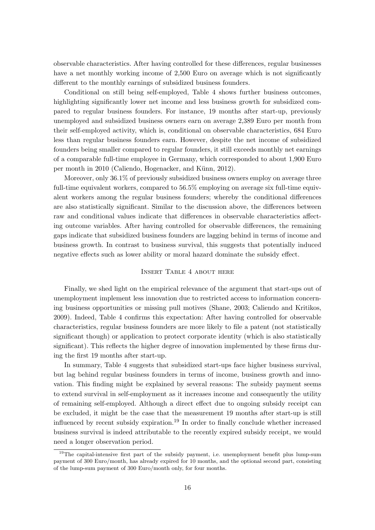observable characteristics. After having controlled for these differences, regular businesses have a net monthly working income of 2,500 Euro on average which is not significantly different to the monthly earnings of subsidized business founders.

Conditional on still being self-employed, Table 4 shows further business outcomes, highlighting significantly lower net income and less business growth for subsidized compared to regular business founders. For instance, 19 months after start-up, previously unemployed and subsidized business owners earn on average 2,389 Euro per month from their self-employed activity, which is, conditional on observable characteristics, 684 Euro less than regular business founders earn. However, despite the net income of subsidized founders being smaller compared to regular founders, it still exceeds monthly net earnings of a comparable full-time employee in Germany, which corresponded to about 1,900 Euro per month in 2010 (Caliendo, Hogenacker, and Künn, 2012).

Moreover, only 36.1% of previously subsidized business owners employ on average three full-time equivalent workers, compared to 56.5% employing on average six full-time equivalent workers among the regular business founders; whereby the conditional differences are also statistically significant. Similar to the discussion above, the differences between raw and conditional values indicate that differences in observable characteristics affecting outcome variables. After having controlled for observable differences, the remaining gaps indicate that subsidized business founders are lagging behind in terms of income and business growth. In contrast to business survival, this suggests that potentially induced negative effects such as lower ability or moral hazard dominate the subsidy effect.

#### Insert Table 4 about here

Finally, we shed light on the empirical relevance of the argument that start-ups out of unemployment implement less innovation due to restricted access to information concerning business opportunities or missing pull motives (Shane, 2003; Caliendo and Kritikos, 2009). Indeed, Table 4 confirms this expectation: After having controlled for observable characteristics, regular business founders are more likely to file a patent (not statistically significant though) or application to protect corporate identity (which is also statistically significant). This reflects the higher degree of innovation implemented by these firms during the first 19 months after start-up.

In summary, Table 4 suggests that subsidized start-ups face higher business survival, but lag behind regular business founders in terms of income, business growth and innovation. This finding might be explained by several reasons: The subsidy payment seems to extend survival in self-employment as it increases income and consequently the utility of remaining self-employed. Although a direct effect due to ongoing subsidy receipt can be excluded, it might be the case that the measurement 19 months after start-up is still influenced by recent subsidy expiration.<sup>19</sup> In order to finally conclude whether increased business survival is indeed attributable to the recently expired subsidy receipt, we would need a longer observation period.

<sup>&</sup>lt;sup>19</sup>The capital-intensive first part of the subsidy payment, i.e. unemployment benefit plus lump-sum payment of 300 Euro/month, has already expired for 10 months, and the optional second part, consisting of the lump-sum payment of 300 Euro/month only, for four months.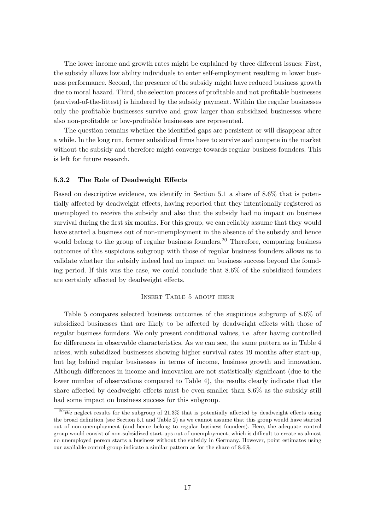The lower income and growth rates might be explained by three different issues: First, the subsidy allows low ability individuals to enter self-employment resulting in lower business performance. Second, the presence of the subsidy might have reduced business growth due to moral hazard. Third, the selection process of profitable and not profitable businesses (survival-of-the-fittest) is hindered by the subsidy payment. Within the regular businesses only the profitable businesses survive and grow larger than subsidized businesses where also non-profitable or low-profitable businesses are represented.

The question remains whether the identified gaps are persistent or will disappear after a while. In the long run, former subsidized firms have to survive and compete in the market without the subsidy and therefore might converge towards regular business founders. This is left for future research.

#### 5.3.2 The Role of Deadweight Effects

Based on descriptive evidence, we identify in Section 5.1 a share of 8.6% that is potentially affected by deadweight effects, having reported that they intentionally registered as unemployed to receive the subsidy and also that the subsidy had no impact on business survival during the first six months. For this group, we can reliably assume that they would have started a business out of non-unemployment in the absence of the subsidy and hence would belong to the group of regular business founders.<sup>20</sup> Therefore, comparing business outcomes of this suspicious subgroup with those of regular business founders allows us to validate whether the subsidy indeed had no impact on business success beyond the founding period. If this was the case, we could conclude that 8.6% of the subsidized founders are certainly affected by deadweight effects.

#### Insert Table 5 about here

Table 5 compares selected business outcomes of the suspicious subgroup of 8.6% of subsidized businesses that are likely to be affected by deadweight effects with those of regular business founders. We only present conditional values, i.e. after having controlled for differences in observable characteristics. As we can see, the same pattern as in Table 4 arises, with subsidized businesses showing higher survival rates 19 months after start-up, but lag behind regular businesses in terms of income, business growth and innovation. Although differences in income and innovation are not statistically significant (due to the lower number of observations compared to Table 4), the results clearly indicate that the share affected by deadweight effects must be even smaller than 8.6% as the subsidy still had some impact on business success for this subgroup.

 $^{20}$ We neglect results for the subgroup of 21.3% that is potentially affected by deadweight effects using the broad definition (see Section 5.1 and Table 2) as we cannot assume that this group would have started out of non-unemployment (and hence belong to regular business founders). Here, the adequate control group would consist of non-subsidized start-ups out of unemployment, which is difficult to create as almost no unemployed person starts a business without the subsidy in Germany. However, point estimates using our available control group indicate a similar pattern as for the share of 8.6%.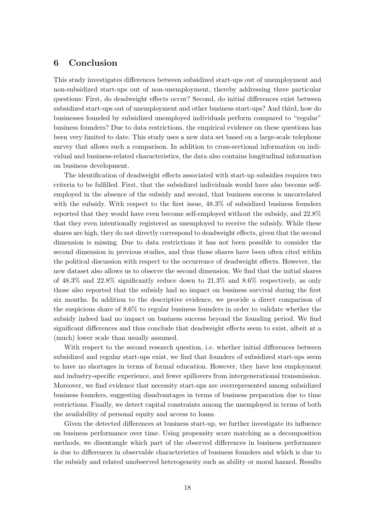## 6 Conclusion

This study investigates differences between subsidized start-ups out of unemployment and non-subsidized start-ups out of non-unemployment, thereby addressing three particular questions: First, do deadweight effects occur? Second, do initial differences exist between subsidized start-ups out of unemployment and other business start-ups? And third, how do businesses founded by subsidized unemployed individuals perform compared to "regular" business founders? Due to data restrictions, the empirical evidence on these questions has been very limited to date. This study uses a new data set based on a large-scale telephone survey that allows such a comparison. In addition to cross-sectional information on individual and business-related characteristics, the data also contains longitudinal information on business development.

The identification of deadweight effects associated with start-up subsidies requires two criteria to be fulfilled. First, that the subsidized individuals would have also become selfemployed in the absence of the subsidy and second, that business success is uncorrelated with the subsidy. With respect to the first issue, 48.3% of subsidized business founders reported that they would have even become self-employed without the subsidy, and 22.8% that they even intentionally registered as unemployed to receive the subsidy. While these shares are high, they do not directly correspond to deadweight effects, given that the second dimension is missing. Due to data restrictions it has not been possible to consider the second dimension in previous studies, and thus those shares have been often cited within the political discussion with respect to the occurrence of deadweight effects. However, the new dataset also allows us to observe the second dimension. We find that the initial shares of 48.3% and 22.8% significantly reduce down to 21.3% and 8.6% respectively, as only those also reported that the subsidy had no impact on business survival during the first six months. In addition to the descriptive evidence, we provide a direct comparison of the suspicious share of 8.6% to regular business founders in order to validate whether the subsidy indeed had no impact on business success beyond the founding period. We find significant differences and thus conclude that deadweight effects seem to exist, albeit at a (much) lower scale than usually assumed.

With respect to the second research question, i.e. whether initial differences between subsidized and regular start-ups exist, we find that founders of subsidized start-ups seem to have no shortages in terms of formal education. However, they have less employment and industry-specific experience, and fewer spillovers from intergenerational transmission. Moreover, we find evidence that necessity start-ups are overrepresented among subsidized business founders, suggesting disadvantages in terms of business preparation due to time restrictions. Finally, we detect capital constraints among the unemployed in terms of both the availability of personal equity and access to loans.

Given the detected differences at business start-up, we further investigate its influence on business performance over time. Using propensity score matching as a decomposition methods, we disentangle which part of the observed differences in business performance is due to differences in observable characteristics of business founders and which is due to the subsidy and related unobserved heterogeneity such as ability or moral hazard. Results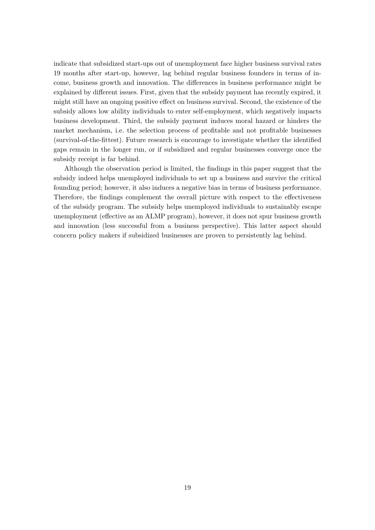indicate that subsidized start-ups out of unemployment face higher business survival rates 19 months after start-up, however, lag behind regular business founders in terms of income, business growth and innovation. The differences in business performance might be explained by different issues. First, given that the subsidy payment has recently expired, it might still have an ongoing positive effect on business survival. Second, the existence of the subsidy allows low ability individuals to enter self-employment, which negatively impacts business development. Third, the subsidy payment induces moral hazard or hinders the market mechanism, i.e. the selection process of profitable and not profitable businesses (survival-of-the-fittest). Future research is encourage to investigate whether the identified gaps remain in the longer run, or if subsidized and regular businesses converge once the subsidy receipt is far behind.

Although the observation period is limited, the findings in this paper suggest that the subsidy indeed helps unemployed individuals to set up a business and survive the critical founding period; however, it also induces a negative bias in terms of business performance. Therefore, the findings complement the overall picture with respect to the effectiveness of the subsidy program. The subsidy helps unemployed individuals to sustainably escape unemployment (effective as an ALMP program), however, it does not spur business growth and innovation (less successful from a business perspective). This latter aspect should concern policy makers if subsidized businesses are proven to persistently lag behind.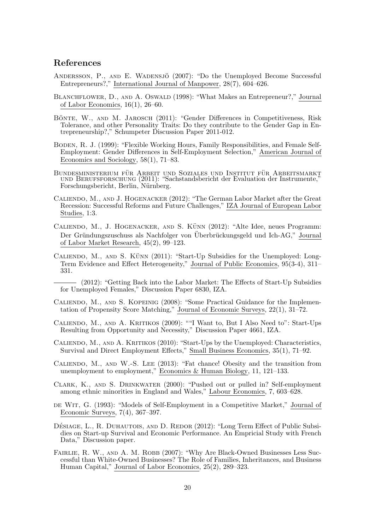## References

- ANDERSSON, P., AND E. WADENSJÖ (2007): "Do the Unemployed Become Successful Entrepreneurs?," International Journal of Manpower, 28(7), 604–626.
- BLANCHFLOWER, D., AND A. OSWALD (1998): "What Makes an Entrepreneur?," Journal of Labor Economics, 16(1), 26–60.
- BÖNTE, W., AND M. JAROSCH (2011): "Gender Differences in Competitiveness, Risk Tolerance, and other Personality Traits: Do they contribute to the Gender Gap in Entrepreneurship?," Schumpeter Discussion Paper 2011-012.
- Boden, R. J. (1999): "Flexible Working Hours, Family Responsibilities, and Female Self-Employment: Gender Differences in Self-Employment Selection," American Journal of Economics and Sociology, 58(1), 71–83.
- BUNDESMINISTERIUM FÜR ARBEIT UND SOZIALES UND INSTITUT FÜR ARBEITSMARKT und Berufsforschung (2011): "Sachstandsbericht der Evaluation der Instrumente," Forschungsbericht, Berlin, Nürnberg.
- Caliendo, M., and J. Hogenacker (2012): "The German Labor Market after the Great Recession: Successful Reforms and Future Challenges," IZA Journal of European Labor Studies, 1:3.
- CALIENDO, M., J. HOGENACKER, AND S. KÜNN (2012): "Alte Idee, neues Programm: Der Gründungszuschuss als Nachfolger von Überbrückungsgeld und Ich-AG," Journal of Labor Market Research, 45(2), 99–123.
- CALIENDO, M., AND S. KÜNN  $(2011)$ : "Start-Up Subsidies for the Unemployed: Long-Term Evidence and Effect Heterogeneity," Journal of Public Economics, 95(3-4), 311– 331.
- (2012): "Getting Back into the Labor Market: The Effects of Start-Up Subsidies for Unemployed Females," Discussion Paper 6830, IZA.
- CALIENDO, M., AND S. KOPEINIG (2008): "Some Practical Guidance for the Implementation of Propensity Score Matching," Journal of Economic Surveys, 22(1), 31–72.
- Caliendo, M., and A. Kritikos (2009): ""I Want to, But I Also Need to": Start-Ups Resulting from Opportunity and Necessity," Discussion Paper 4661, IZA.
- Caliendo, M., and A. Kritikos (2010): "Start-Ups by the Unemployed: Characteristics, Survival and Direct Employment Effects," Small Business Economics, 35(1), 71–92.
- Caliendo, M., and W.-S. Lee (2013): "Fat chance! Obesity and the transition from unemployment to employment," Economics & Human Biology, 11, 121–133.
- Clark, K., and S. Drinkwater (2000): "Pushed out or pulled in? Self-employment among ethnic minorities in England and Wales," Labour Economics, 7, 603–628.
- de Wit, G. (1993): "Models of Self-Employment in a Competitive Market," Journal of Economic Surveys, 7(4), 367–397.
- DÉSIAGE, L., R. DUHAUTOIS, AND D. REDOR (2012): "Long Term Effect of Public Subsidies on Start-up Survival and Economic Performance. An Empricial Study with French Data," Discussion paper.
- FAIRLIE, R. W., AND A. M. ROBB (2007): "Why Are Black-Owned Businesses Less Successful than White-Owned Businesses? The Role of Families, Inheritances, and Business Human Capital," Journal of Labor Economics, 25(2), 289–323.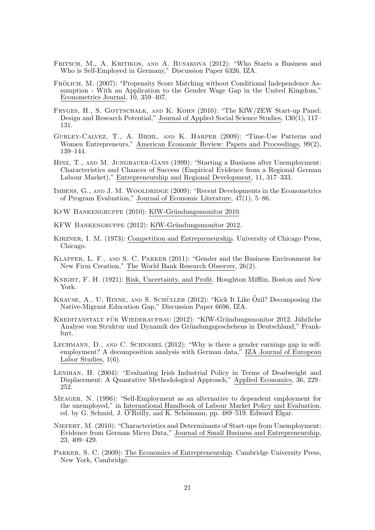- FRITSCH, M., A. KRITIKOS, AND A. RUSAKOVA (2012): "Who Starts a Business and Who is Self-Employed in Germany," Discussion Paper 6326, IZA.
- FRÖLICH, M. (2007): "Propensity Score Matching without Conditional Independence Assumption - With an Application to the Gender Wage Gap in the United Kingdom," Econometrics Journal, 10, 359–407.
- FRYGES, H., S. GOTTSCHALK, AND K. KOHN (2010): "The KfW/ZEW Start-up Panel: Design and Research Potential," Journal of Applied Social Science Studies, 130(1), 117– 131.
- Gurley-Calvez, T., A. Biehl, and K. Harper (2009): "Time-Use Patterns and Women Entrepreneurs," American Economic Review: Papers and Proceedings, 99(2), 139–144.
- Hinz, T., and M. Jungbauer-Gans (1999): "Starting a Business after Unemployment: Characteristics and Chances of Success (Empirical Evidence from a Regional German Labour Market)," Entrepreneurship and Regional Development, 11, 317–333.
- IMBENS, G., AND J. M. WOOLDRIDGE (2009): "Recent Developments in the Econometrics of Program Evaluation," Journal of Economic Literature, 47(1), 5–86.
- KFW BANKENGRUPPE (2010): KfW-Gründungsmonitor 2010.
- KFW BANKENGRUPPE (2012): KfW-Gründungsmonitor 2012.
- Kirzner, I. M. (1973): Competition and Entrepreneurship. University of Chicago Press, Chicago.
- Klapper, L. F., and S. C. Parker (2011): "Gender and the Business Environment for New Firm Creation," The World Bank Research Observer, 26(2).
- Knight, F. H. (1921): Risk, Uncertainty, and Profit. Houghton Mifflin, Boston and New York.
- KRAUSE, A., U. RINNE, AND S. SCHÜLLER  $(2012)$ : "Kick It Like Özil? Decomposing the Native-Migrant Education Gap," Discussion Paper 6696, IZA.
- KREDITANSTALT FÜR WIEDERAUFBAU (2012): "KfW-Gründungsmonitor 2012. Jährliche Analyse von Struktur und Dynamik des Gründungsgeschehens in Deutschland," Frankfurt.
- LECHMANN, D., AND C. SCHNABEL (2012): "Why is there a gender earnings gap in selfemployment? A decomposition analysis with German data," IZA Journal of European Labor Studies, 1(6).
- LENIHAN, H. (2004): "Evaluating Irish Industrial Policy in Terms of Deadweight and Displacement: A Quantative Methodological Approach," Applied Economics, 36, 229– 252.
- Meager, N. (1996): "Self-Employment as an alternative to dependent employment for the unemployed," in International Handbook of Labour Market Policy and Evaluation, ed. by G. Schmid, J. O'Reilly, and K. Schömann, pp. 489–519. Edward Elgar.
- Niefert, M. (2010): "Characteristics and Determinants of Start-ups from Unemployment: Evidence from German Micro Data," Journal of Small Business and Entrepreneurship, 23, 409–429.
- Parker, S. C. (2009): The Economics of Entrepreneurship. Cambridge University Press, New York, Cambridge.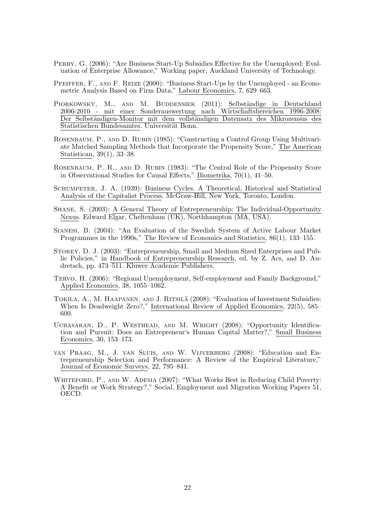- Perry, G. (2006): "Are Business Start-Up Subsidies Effective for the Unemployed: Evaluation of Enterprise Allowance," Working paper, Auckland University of Technology.
- Pfeiffer, F., and F. Reize (2000): "Business Start-Ups by the Unemployed an Econometric Analysis Based on Firm Data," Labour Economics, 7, 629–663.
- PIORKOWSKY, M., AND M. BUDDENSIEK (2011): Selbständige in Deutschland 2006-2010 - mit einer Sonderauswertung nach Wirtschaftsbereichen 1996-2008: Der Selbständigen-Monitor mit dem vollständigen Datensatz des Mikrozensus des Statistischen Bundesamtes. Universität Bonn.
- ROSENBAUM, P., AND D. RUBIN (1985): "Constructing a Control Group Using Multivariate Matched Sampling Methods that Incorporate the Propensity Score," The American Statistican, 39(1), 33–38.
- Rosenbaum, P. R., and D. Rubin (1983): "The Central Role of the Propensity Score in Observational Studies for Causal Effects," Biometrika, 70(1), 41–50.
- Schumpeter, J. A. (1939): Business Cycles. A Theoretical, Historical and Statistical Analysis of the Capitalist Process. McGraw-Hill, New York, Toronto, London.
- Shane, S. (2003): A General Theory of Entrepreneurship: The Individual-Opportunity Nexus. Edward Elgar, Cheltenham (UK), Northhampton (MA, USA).
- Sianesi, B. (2004): "An Evaluation of the Swedish System of Active Labour Market Programmes in the 1990s," The Review of Economics and Statistics, 86(1), 133–155.
- Storey, D. J. (2003): "Entrepreneurship, Small and Medium Sized Enterprises and Public Policies," in Handbook of Entrepreneurship Research, ed. by Z. Acs, and D. Audretsch, pp. 473–511. Kluwer Academic Publishers.
- Tervo, H. (2006): "Regional Unemployment, Self-employment and Family Background," Applied Economics, 38, 1055–1062.
- TOKILA, A., M. HAAPANEN, AND J. RITSILÄ (2008): "Evaluation of Investment Subsidies: When Is Deadweight Zero?," International Review of Applied Economics, 22(5), 585– 600.
- Ucbasaran, D., P. Westhead, and M. Wright (2008): "Opportunity Identification and Pursuit: Does an Entrepreneur's Human Capital Matter?," Small Business Economics, 30, 153–173.
- van Praag, M., J. van Sluis, and W. Vijverberg (2008): "Education and Entrepreneurship Selection and Performance: A Review of the Empirical Literature," Journal of Economic Surveys, 22, 795–841.
- WHITEFORD, P., AND W. ADEMA (2007): "What Works Best in Reducing Child Poverty: A Benefit or Work Strategy?," Social, Employment and Migration Working Papers 51, OECD.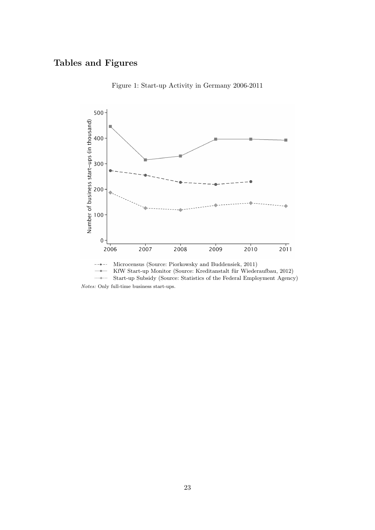## Tables and Figures



Figure 1: Start-up Activity in Germany 2006-2011

 $\longrightarrow$ KfW Start-up Monitor (Source: Kreditanstalt für Wiederaufbau, 2012)  $\ldots$  .  $\ldots$ Start-up Subsidy (Source: Statistics of the Federal Employment Agency) Notes: Only full-time business start-ups.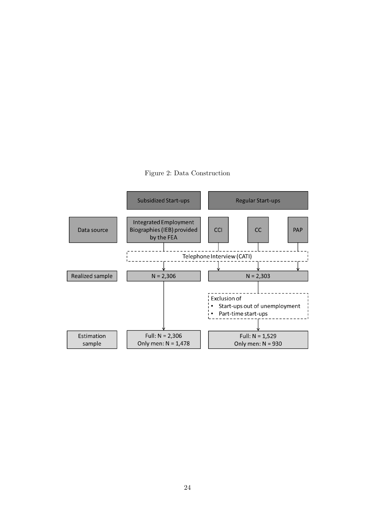

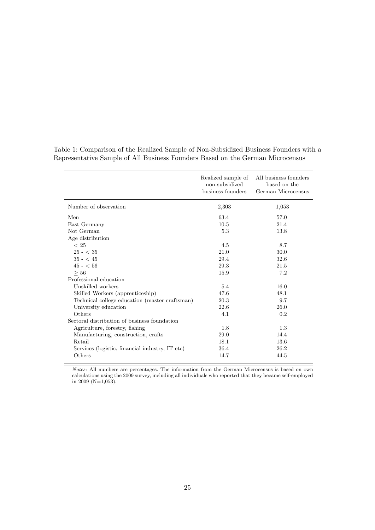|                                                 | Realized sample of<br>non-subsidized<br>business founders | All business founders<br>based on the<br>German Microcensus |
|-------------------------------------------------|-----------------------------------------------------------|-------------------------------------------------------------|
| Number of observation                           | 2,303                                                     | 1,053                                                       |
| Men                                             | 63.4                                                      | 57.0                                                        |
| East Germany                                    | 10.5                                                      | 21.4                                                        |
| Not German                                      | 5.3                                                       | 13.8                                                        |
| Age distribution                                |                                                           |                                                             |
| ~<~25                                           | 4.5                                                       | 8.7                                                         |
| $25 - < 35$                                     | 21.0                                                      | 30.0                                                        |
| $35 - 45$                                       | 29.4                                                      | 32.6                                                        |
| $45 - 56$                                       | 29.3                                                      | 21.5                                                        |
| > 56                                            | 15.9                                                      | 7.2                                                         |
| Professional education                          |                                                           |                                                             |
| Unskilled workers                               | 5.4                                                       | 16.0                                                        |
| Skilled Workers (apprenticeship)                | 47.6                                                      | 48.1                                                        |
| Technical college education (master craftsman)  | 20.3                                                      | 9.7                                                         |
| University education                            | 22.6                                                      | 26.0                                                        |
| Others                                          | 4.1                                                       | 0.2                                                         |
| Sectoral distribution of business foundation    |                                                           |                                                             |
| Agriculture, forestry, fishing                  | 1.8                                                       | 1.3                                                         |
| Manufacturing, construction, crafts             | 29.0                                                      | 14.4                                                        |
| Retail                                          | 18.1                                                      | 13.6                                                        |
| Services (logistic, financial industry, IT etc) | 36.4                                                      | 26.2                                                        |
| Others                                          | 14.7                                                      | 44.5                                                        |

Table 1: Comparison of the Realized Sample of Non-Subsidized Business Founders with a Representative Sample of All Business Founders Based on the German Microcensus

Notes: All numbers are percentages. The information from the German Microcensus is based on own calculations using the 2009 survey, including all individuals who reported that they became self-employed in 2009 (N=1,053).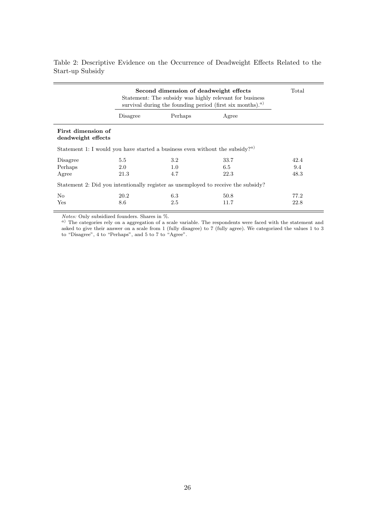| Second dimension of deadweight effects<br>Statement: The subsidy was highly relevant for business<br>survival during the founding period (first six months). <sup><i>a</i>)</sup> |          |                  |       | Total |
|-----------------------------------------------------------------------------------------------------------------------------------------------------------------------------------|----------|------------------|-------|-------|
|                                                                                                                                                                                   | Disagree | Perhaps          | Agree |       |
| First dimension of<br>deadweight effects                                                                                                                                          |          |                  |       |       |
| Statement 1: I would you have started a business even without the subsidy? <sup><i>a</i>)</sup>                                                                                   |          |                  |       |       |
| Disagree                                                                                                                                                                          | 5.5      | $3.2\phantom{0}$ | 33.7  | 42.4  |
| Perhaps                                                                                                                                                                           | 2.0      | 1.0              | 6.5   | 9.4   |
| Agree                                                                                                                                                                             | 21.3     | 4.7              | 22.3  | 48.3  |
| Statement 2: Did you intentionally register as unemployed to receive the subsidy?                                                                                                 |          |                  |       |       |
| No                                                                                                                                                                                | 20.2     | 6.3              | 50.8  | 77.2  |
| Yes                                                                                                                                                                               | 8.6      | 2.5              | 11.7  | 22.8  |

Table 2: Descriptive Evidence on the Occurrence of Deadweight Effects Related to the Start-up Subsidy

Notes: Only subsidized founders. Shares in %.

 $a)$  The categories rely on a aggregation of a scale variable. The respondents were faced with the statement and asked to give their answer on a scale from 1 (fully disagree) to 7 (fully agree). We categorized the values 1 to 3 to "Disagree", 4 to "Perhaps", and 5 to 7 to "Agree".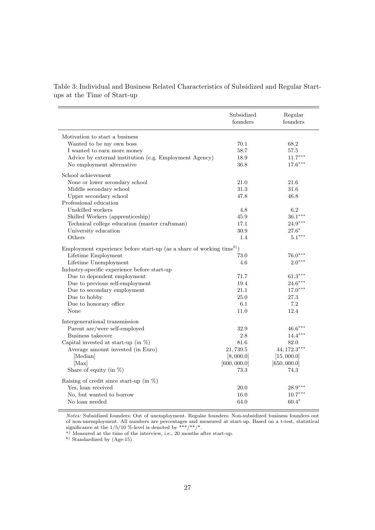Table 3: Individual and Business Related Characteristics of Subsidized and Regular Startups at the Time of Start-up

|                                                                                   | Subsidized<br>founders | Regular<br>founders  |
|-----------------------------------------------------------------------------------|------------------------|----------------------|
| Motivation to start a business                                                    |                        |                      |
| Wanted to be my own boss                                                          | 70.1                   | 68.2                 |
| I wanted to earn more money                                                       | 58.7                   | $57.5\,$             |
| Advice by external institution (e.g. Employment Agency)                           | 18.9                   | $11.7***$            |
| No employment alternative                                                         | 36.8                   | $17.6***$            |
|                                                                                   |                        |                      |
| School achievement                                                                |                        |                      |
| None or lower secondary school                                                    | 21.0                   | 21.6                 |
| Middle secondary school                                                           | 31.3                   | 31.6                 |
| Upper secondary school                                                            | 47.8                   | 46.8                 |
| Professional education                                                            |                        |                      |
| Unskilled workers                                                                 | 4.8                    | 6.2                  |
| Skilled Workers (apprenticeship)                                                  | 45.9                   | $36.1***$            |
| Technical college education (master craftsman)                                    | 17.1                   | $24.9***$            |
| University education                                                              | 30.9                   | $27.6*$              |
| Others                                                                            | 1.4                    | $5.1***$             |
| Employment experience before start-up (as a share of working time <sup>b)</sup> ) |                        |                      |
| Lifetime Employment                                                               | 73.0                   | $76.0***$            |
| Lifetime Unemployment                                                             | 4.6                    | $2.0***$             |
| Industry-specific experience before start-up                                      |                        |                      |
| Due to dependent employment                                                       | 71.7                   | $61.3***$            |
| Due to previous self-employment                                                   | 19.4                   | $24.6***$            |
| Due to secondary employment                                                       | 21.1                   | $17.0***$            |
| Due to hobby                                                                      | 25.0                   | 27.3                 |
| Due to honorary office                                                            | 6.1                    | 7.2                  |
| None                                                                              | 11.0                   | 12.4                 |
|                                                                                   |                        |                      |
| Intergenerational transmission                                                    |                        |                      |
| Parent are/were self-employed                                                     | 32.9                   | $46.6***$            |
| Business takeover                                                                 | 2.8                    | $14.4***$            |
| Capital invested at start-up (in $\%$ )                                           | 81.6                   | 82.0                 |
| Average amount invested (in Euro)                                                 | 21,739.5               | $44, 172.3***$       |
| [Median]                                                                          | [8,000.0]              | [15,000.0]           |
| [Max]<br>Share of equity (in $\%$ )                                               | [600, 000.0]<br>73.3   | [650, 000.0]<br>74.3 |
|                                                                                   |                        |                      |
| Raising of credit since start-up (in $\%$ )                                       |                        |                      |
| Yes, loan received                                                                | 20.0                   | $28.9***$            |
| No, but wanted to borrow                                                          | 16.0                   | $10.7***$            |
| No loan needed                                                                    | 64.0                   | $60.4*$              |
|                                                                                   |                        |                      |

Notes: Subsidized founders: Out of unemployment. Regular founders: Non-subsidized business founders out of non-unemployment. All numbers are percentages and measured at start-up. Based on a t-test, statistical significance at the  $1/5/10$  %-level is denoted by \*\*\*/\*\*/\*.

<sup>a</sup>) Measured at the time of the interview, i.e., 20 months after start-up.

 $^{b)}$  Standardized by (Age-15)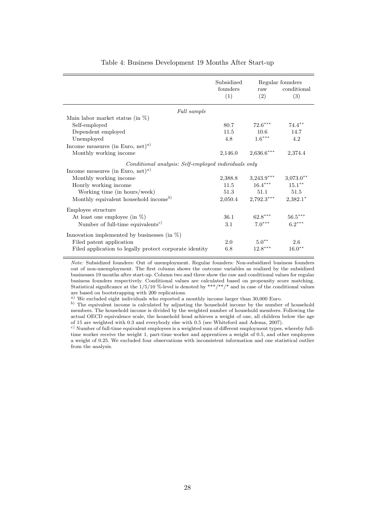|                                                         | Subsidized<br>founders<br>(1) | raw<br>(2)           | Regular founders<br>conditional<br>(3) |
|---------------------------------------------------------|-------------------------------|----------------------|----------------------------------------|
| Full sample                                             |                               |                      |                                        |
| Main labor market status (in $\%$ )                     |                               |                      |                                        |
| Self-employed                                           | 80.7                          | $72.6***$            | $74.4***$                              |
| Dependent employed                                      | 11.5                          | 10.6                 | 14.7                                   |
| Unemployed                                              | 4.8                           | $1.6^{\ast\ast\ast}$ | 4.2                                    |
| Income measures (in Euro, net) <sup><i>a</i>)</sup>     |                               |                      |                                        |
| Monthly working income                                  | 2,146.0                       | $2,636.6***$         | 2,374.4                                |
| Conditional analysis: Self-employed individuals only    |                               |                      |                                        |
| Income measures (in Euro, net) <sup><i>a</i>)</sup>     |                               |                      |                                        |
| Monthly working income                                  | 2,388.8                       | $3,243.9***$         | $3,073.0**$                            |
| Hourly working income                                   | 11.5                          | $16.4***$            | $15.1***$                              |
| Working time (in hours/week)                            | 51.3                          | 51.1                 | 51.5                                   |
| Monthly equivalent household income <sup>b)</sup>       | 2,050.4                       | $2,792.3***$         | $2,382.1*$                             |
| Employee structure                                      |                               |                      |                                        |
| At least one employee (in $\%$ )                        | 36.1                          | $62.8***$            | $56.5***$                              |
| Number of full-time equivalents <sup>c)</sup>           | 3.1                           | $7.0***$             | $6.2***$                               |
| Innovation implemented by businesses (in $\%$ )         |                               |                      |                                        |
| Filed patent application                                | 2.0                           | $5.0**$              | 2.6                                    |
| Filed application to legally protect corporate identity | 6.8                           | $12.8***$            | $16.0**$                               |

#### Table 4: Business Development 19 Months After Start-up

Note: Subsidized founders: Out of unemployment. Regular founders: Non-subsidized business founders out of non-unemployment. The first column shows the outcome variables as realized by the subsidized businesses 19 months after start-up. Column two and three show the raw and conditional values for regular business founders respectively. Conditional values are calculated based on propensity score matching. Statistical significance at the  $1/5/10$  %-level is denoted by \*\*\*/\*\*/\* and in case of the conditional values are based on bootstrapping with 200 replications.

 $a)$  We excluded eight individuals who reported a monthly income larger than 30,000 Euro.

b) The equivalent income is calculated by adjusting the household income by the number of household members. The household income is divided by the weighted number of household members. Following the actual OECD equivalence scale, the household head achieves a weight of one, all children below the age of 15 are weighted with 0.3 and everybody else with 0.5 (see Whiteford and Adema, 2007).

<sup>c</sup>) Number of full-time equivalent employees is a weighted sum of different employment types, whereby fulltime worker receive the weight 1, part-time worker and apprentices a weight of 0.5, and other employees a weight of 0.25. We excluded four observations with inconsistent information and one statistical outlier from the analysis.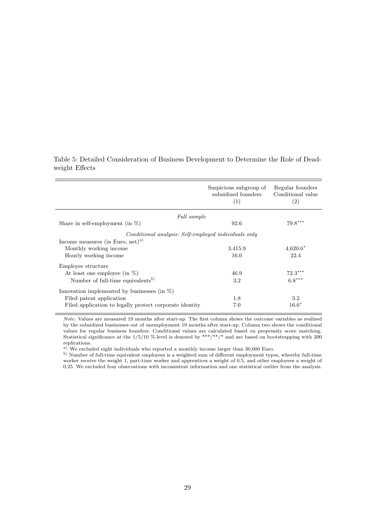|                                                                                                             | Suspicious subgroup of<br>subsidized founders<br>(1) | Regular founders<br>Conditional value<br>(2) |
|-------------------------------------------------------------------------------------------------------------|------------------------------------------------------|----------------------------------------------|
| Full sample                                                                                                 |                                                      |                                              |
| Share in self-employment (in $\%$ )                                                                         | 92.6                                                 | $79.8***$                                    |
| Conditional analysis: Self-employed individuals only<br>Income measures (in Euro, net) <sup><i>a</i>)</sup> |                                                      |                                              |
| Monthly working income                                                                                      | 3,415.9                                              | $4,620.6*$                                   |
| Hourly working income                                                                                       | 16.0                                                 | 22.4                                         |
| Employee structure                                                                                          |                                                      |                                              |
| At least one employee (in $\%$ )                                                                            | 46.9                                                 | $72.3***$                                    |
| Number of full-time equivalents <sup>b)</sup>                                                               | 3.2                                                  | $6.8***$                                     |
| Innovation implemented by businesses (in $\%$ )                                                             |                                                      |                                              |
| Filed patent application                                                                                    | 1.8                                                  | 3.2                                          |
| Filed application to legally protect corporate identity                                                     | 7.0                                                  | $16.6*$                                      |

Table 5: Detailed Consideration of Business Development to Determine the Role of Deadweight Effects

Note: Values are measured 19 months after start-up. The first column shows the outcome variables as realized by the subsidized businesses out of unemployment 19 months after start-up. Column two shows the conditional values for regular business founders. Conditional values are calculated based on propensity score matching. Statistical significance at the  $1/5/10$  %-level is denoted by \*\*\*/\*\*/\* and are based on bootstrapping with 200 replications.

 $a)$  We excluded eight individuals who reported a monthly income larger than 30,000 Euro.

b) Number of full-time equivalent employees is a weighted sum of different employment types, whereby full-time worker receive the weight 1, part-time worker and apprentices a weight of 0.5, and other employees a weight of 0.25. We excluded four observations with inconsistent information and one statistical outlier from the analysis.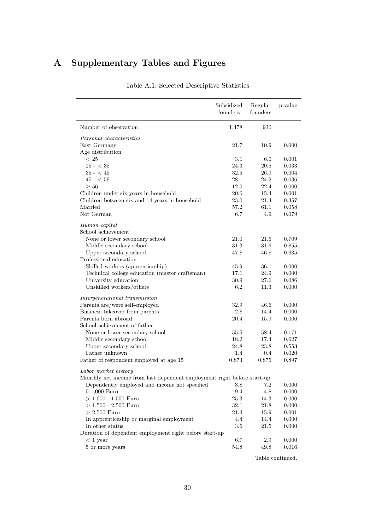# A Supplementary Tables and Figures

|                                                                         | Subsidized<br>founders | Regular<br>founders | p-value |
|-------------------------------------------------------------------------|------------------------|---------------------|---------|
| Number of observation                                                   | 1,478                  | 930                 |         |
| Personal characteristics                                                |                        |                     |         |
| East Germany                                                            | 21.7                   | 10.9                | 0.000   |
| Age distribution                                                        |                        |                     |         |
| < 25                                                                    | 3.1                    | 6.0                 | 0.001   |
| $25 - < 35$                                                             | 24.3                   | 20.5                | 0.033   |
| $35 - 45$                                                               | 32.5                   | 26.9                | 0.004   |
| $45 - 56$                                                               | 28.1                   | 24.2                | 0.036   |
| > 56                                                                    | 12.0                   | 22.4                | 0.000   |
| Children under six years in household                                   | 20.6                   | 15.4                | 0.001   |
| Children between six and 14 years in household                          | 23.0                   | 21.4                | 0.357   |
| Married                                                                 | 57.2                   | 61.1                | 0.058   |
| Not German                                                              | 6.7                    | 4.9                 | 0.079   |
| Human capital<br>School achievement                                     |                        |                     |         |
| None or lower secondary school                                          | 21.0                   | 21.6                | 0.709   |
| Middle secondary school                                                 | 31.3                   | 31.6                | 0.855   |
| Upper secondary school                                                  | 47.8                   | 46.8                | 0.635   |
| Professional education                                                  |                        |                     |         |
| Skilled workers (apprenticeship)                                        | 45.9                   | 36.1                | 0.000   |
| Technical college education (master craftsman)                          | 17.1                   | 24.9                | 0.000   |
| University education                                                    | 30.9                   | 27.6                | 0.086   |
| Unskilled workers/others                                                | 6.2                    | 11.3                | 0.000   |
|                                                                         |                        |                     |         |
| Intergenerational transmission<br>Parents are/were self-employed        | 32.9                   | 46.6                | 0.000   |
| Business takeover from parents                                          | 2.8                    | 14.4                | 0.000   |
| Parents born abroad                                                     | 20.4                   | 15.9                | 0.006   |
| School achievement of father                                            |                        |                     |         |
| None or lower secondary school                                          | 55.5                   | 58.4                | 0.171   |
| Middle secondary school                                                 | 18.2                   | 17.4                | 0.627   |
| Upper secondary school                                                  | 24.8                   | 23.8                | 0.553   |
| Father unknown                                                          | 1.4                    | 0.4                 |         |
| Father of respondent employed at age 15                                 | 0.873                  | 0.875               | 0.020   |
|                                                                         |                        |                     | 0.897   |
| Labor market history                                                    |                        |                     |         |
| Monthly net income from last dependent employment right before start-up |                        |                     |         |
| Dependently employed and income not specified                           | $3.8\,$                | 7.2                 | 0.000   |
| $0-1,000$ Euro                                                          | 9.4                    | 4.8                 | 0.000   |
| $>$ 1,000 - 1,500 Euro                                                  | 25.3                   | 14.3                | 0.000   |
| $> 1,500 - 2,500$ Euro                                                  | 32.1                   | 21.8                | 0.000   |
| $> 2,500$ Euro                                                          | 21.4                   | 15.9                | 0.001   |
| In apprenticeship or marginal employment                                | 4.4                    | 14.4                | 0.000   |
| In other status                                                         | 3.6                    | 21.5                | 0.000   |
| Duration of dependent employment right before start-up                  |                        |                     |         |
| $< 1$ year                                                              | 6.7                    | $2.9\,$             | 0.000   |
| 5 or more years                                                         | 54.8                   | 49.8                | 0.016   |
|                                                                         |                        |                     |         |

Table A.1: Selected Descriptive Statistics

Table continued.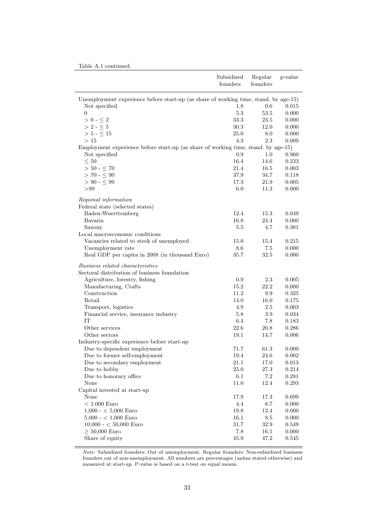|  |  |  | Table A.1 continued. |
|--|--|--|----------------------|
|--|--|--|----------------------|

|                                                                                      | Subsidized<br>founders | Regular<br>founders | p-value        |
|--------------------------------------------------------------------------------------|------------------------|---------------------|----------------|
| Unemployment experience before start-up (as share of working time, stand. by age-15) |                        |                     |                |
| Not specified                                                                        | 1.8                    | 0.6                 | 0.015          |
| $\overline{0}$                                                                       | $5.3\,$                | 53.5                | 0.000          |
| $>0$ - $\leq 2$                                                                      | 33.3                   | 23.5                | 0.000          |
| $>$ 2 - $\leq$ 5                                                                     | 30.3                   | 12.0                | 0.000          |
| $> 5 - \leq 15$                                                                      | 25.0                   | 8.0                 | 0.000          |
| >15                                                                                  | 4.3                    | 2.3                 | 0.009          |
| Employment experience before start-up (as share of working time, stand. by age-15)   |                        |                     |                |
| Not specified                                                                        | 0.9                    | 1.0                 | 0.960          |
| $\leq 50$                                                                            | 16.4                   | 14.6                | 0.233          |
| $>$ 50 - $\leq$ 70                                                                   | 21.4                   | 16.5                | 0.003          |
| $> 70 - \leq 90$                                                                     | 37.9                   | 34.7                | 0.118          |
| $> 90 - 5.99$                                                                        | 17.3                   | 21.9                | 0.005          |
| > 99                                                                                 | $6.0\,$                | 11.3                | 0.000          |
| Regional information                                                                 |                        |                     |                |
| Federal state (selected states)                                                      |                        |                     |                |
| Baden-Wuerttemberg                                                                   | 12.4                   | 15.3                | 0.049          |
| Bavaria                                                                              | 16.8                   | 24.4                | 0.000          |
| Saxony                                                                               | $5.5\,$                | 4.7                 | 0.381          |
| Local macroeconomic conditions                                                       |                        |                     |                |
| Vacancies related to stock of unemployed                                             | 15.0                   | 15.4                | 0.215          |
| Unemployment rate                                                                    | 8.6                    | 7.5                 | 0.000          |
| Real GDP per capita in 2008 (in thousand Euro)                                       | 35.7                   | 32.5                | 0.000          |
| <i>Business related characteristics</i>                                              |                        |                     |                |
| Sectoral distribution of business foundation                                         |                        |                     |                |
| Agriculture, forestry, fishing                                                       | 0.9                    | 2.3                 | 0.005          |
| Manufacturing, Crafts                                                                | 15.2                   | 22.2                | 0.000          |
| Construction                                                                         | 11.2                   | 9.9                 | 0.325          |
| Retail                                                                               | 14.0                   | 16.0                | 0.175          |
| Transport, logistics                                                                 | 4.9                    | 2.5                 | 0.003          |
| Financial service, insurance industry                                                | 5.8                    | 3.9                 | 0.034          |
| IT                                                                                   | 6.4                    | 7.8                 | 0.183          |
| Other services                                                                       | 22.6                   | 20.8                | 0.286          |
| Other sectors                                                                        | 19.1                   | 14.7                | 0.006          |
| Industry-specific experience before start-up                                         |                        |                     |                |
| Due to dependent employment                                                          | 71.7                   | 61.3                | 0.000          |
| Due to former self-employment                                                        | $19.4\,$               | $24.6\,$            | 0.002          |
| Due to secondary employment                                                          | 21.1                   | 17.0                | 0.013          |
| Due to hobby                                                                         | 25.0                   | $27.3\,$            | 0.214          |
| Due to honorary office<br>None                                                       | $6.1\,$                | 7.2                 | 0.281          |
|                                                                                      | 11.0                   | 12.4                | $0.293\,$      |
| Capital invested at start-up<br>None                                                 |                        |                     |                |
| $< 1,000$ Euro                                                                       | 17.9<br>4.4            | 17.3<br>$8.7\,$     | 0.699          |
| $1,000 - < 5,000$ Euro                                                               | $19.8\,$               | 12.4                | 0.000<br>0.000 |
| $5,000 - < 1,000$ Euro                                                               | 16.1                   | 8.5                 | $0.000\,$      |
| $10,000 - 50,000$ Euro                                                               | 31.7                   | 32.9                | 0.549          |
| $\geq 50,000$ Euro                                                                   | 7.8                    | 16.1                | 0.000          |
| Share of equity                                                                      | 45.9                   | 47.2                | 0.545          |
|                                                                                      |                        |                     |                |

Note: Subsidized founders: Out of unemployment. Regular founders: Non-subsidized business founders out of non-unemployment. All numbers are percentages (unless stated otherwise) and measured at start-up. P-value is based on a t-test on equal means.

 $\overline{a}$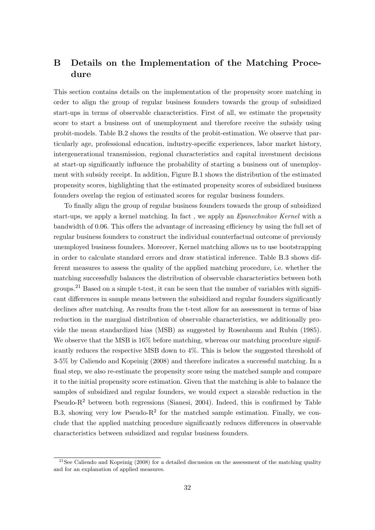## B Details on the Implementation of the Matching Procedure

This section contains details on the implementation of the propensity score matching in order to align the group of regular business founders towards the group of subsidized start-ups in terms of observable characteristics. First of all, we estimate the propensity score to start a business out of unemployment and therefore receive the subsidy using probit-models. Table B.2 shows the results of the probit-estimation. We observe that particularly age, professional education, industry-specific experiences, labor market history, intergenerational transmission, regional characteristics and capital investment decisions at start-up significantly influence the probability of starting a business out of unemployment with subsidy receipt. In addition, Figure B.1 shows the distribution of the estimated propensity scores, highlighting that the estimated propensity scores of subsidized business founders overlap the region of estimated scores for regular business founders.

To finally align the group of regular business founders towards the group of subsidized start-ups, we apply a kernel matching. In fact , we apply an Epanechnikov Kernel with a bandwidth of 0.06. This offers the advantage of increasing efficiency by using the full set of regular business founders to construct the individual counterfactual outcome of previously unemployed business founders. Moreover, Kernel matching allows us to use bootstrapping in order to calculate standard errors and draw statistical inference. Table B.3 shows different measures to assess the quality of the applied matching procedure, i.e. whether the matching successfully balances the distribution of observable characteristics between both groups.<sup>21</sup> Based on a simple t-test, it can be seen that the number of variables with significant differences in sample means between the subsidized and regular founders significantly declines after matching. As results from the t-test allow for an assessment in terms of bias reduction in the marginal distribution of observable characteristics, we additionally provide the mean standardized bias (MSB) as suggested by Rosenbaum and Rubin (1985). We observe that the MSB is  $16\%$  before matching, whereas our matching procedure significantly reduces the respective MSB down to 4%. This is below the suggested threshold of 3-5% by Caliendo and Kopeinig (2008) and therefore indicates a successful matching. In a final step, we also re-estimate the propensity score using the matched sample and compare it to the initial propensity score estimation. Given that the matching is able to balance the samples of subsidized and regular founders, we would expect a sizeable reduction in the Pseudo- $R<sup>2</sup>$  between both regressions (Sianesi, 2004). Indeed, this is confirmed by Table B.3, showing very low Pseudo- $R^2$  for the matched sample estimation. Finally, we conclude that the applied matching procedure significantly reduces differences in observable characteristics between subsidized and regular business founders.

 $21$ See Caliendo and Kopeinig (2008) for a detailed discussion on the assessment of the matching quality and for an explanation of applied measures.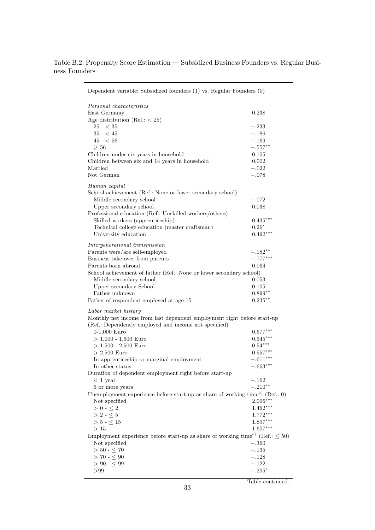| Dependent variable: Subsidized founders (1) vs. Regular Founders (0)                                   |               |
|--------------------------------------------------------------------------------------------------------|---------------|
| Personal characteristics                                                                               |               |
| East Germany                                                                                           | 0.238         |
| Age distribution (Ref.: $<$ 25)                                                                        |               |
| $25 - < 35$                                                                                            | $-.233$       |
| $35 - 45$                                                                                              | $-.186$       |
| $45 - 56$                                                                                              | $-.169$       |
| $\geq 56$                                                                                              | $-.557**$     |
| Children under six years in household                                                                  | 0.105         |
| Children between six and 14 years in household                                                         | 0.002         |
| Married                                                                                                | $-.022$       |
| Not German                                                                                             | $-.078$       |
| Human capital                                                                                          |               |
| School achievement (Ref.: None or lower secondary school)                                              |               |
| Middle secondary school                                                                                | $-.072$       |
| Upper secondary school                                                                                 | 0.038         |
| Professional education (Ref.: Unskilled workers/others)                                                |               |
| Skilled workers (apprenticeship)                                                                       | $0.435***$    |
| Technical college education (master craftsman)                                                         | $0.26*$       |
| University education                                                                                   | $0.492***$    |
| Intergenerational transmission                                                                         |               |
| Parents were/are self-employed                                                                         | $-.182**$     |
| Business take-over from parents                                                                        | $-.777^{***}$ |
| Parents born abroad                                                                                    | 0.064         |
| School achievement of father (Ref.: None or lower secondary school)                                    |               |
| Middle secondary school                                                                                | 0.053         |
| Upper secondary School                                                                                 | 0.105         |
| Father unknown                                                                                         | $0.899**$     |
| Father of respondent employed at age 15                                                                | $0.235***$    |
| Labor market history                                                                                   |               |
| Monthly net income from last dependent employment right before start-up                                |               |
| (Ref.: Dependently employed and income not specified)                                                  |               |
| $0-1,000$ Euro                                                                                         | $0.677***$    |
| $> 1,000 - 1,500$ Euro                                                                                 | $0.545***$    |
| $> 1,500 - 2,500$ Euro                                                                                 | $0.54***$     |
| $> 2,500$ Euro                                                                                         | $0.557***$    |
| In apprenticeship or marginal employment                                                               | $-.611***$    |
| In other status                                                                                        | $-.663***$    |
| Duration of dependent employment right before start-up                                                 |               |
| $< 1$ year                                                                                             | $-.162$       |
| 5 or more years                                                                                        | $-.210**$     |
| Unemployment experience before start-up as share of working time <sup><math>a)</math></sup> (Ref.: 0)  |               |
| Not specified                                                                                          | $2.006***$    |
| $>$ 0 - $\leq$ 2                                                                                       | $1.462***$    |
| $>2$ - $\leq 5$                                                                                        | $1.772***$    |
| $> 5 - < 15$                                                                                           | $1.897***$    |
| >15                                                                                                    | $1.607***$    |
| Employment experience before start-up as share of working time <sup><i>a</i>)</sup> (Ref.: $\leq 50$ ) |               |
| Not specified                                                                                          | $-.360$       |
| $> 50 - \leq 70$                                                                                       | $-.135$       |
| $> 70 - 5.90$                                                                                          | $-.128$       |
| $> 90 - 5.99$                                                                                          | $-.122$       |
| > 99                                                                                                   | $-.295*$      |

Table B.2: Propensity Score Estimation — Subsidized Business Founders vs. Regular Business Founders

Table continued.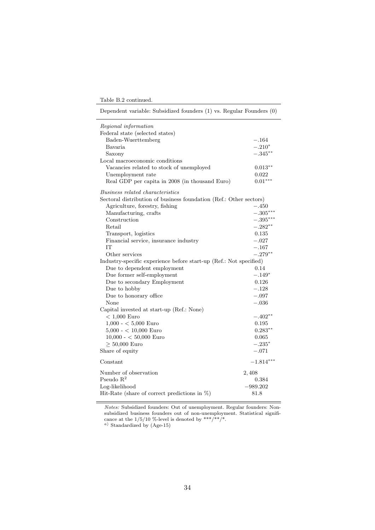Table B.2 continued.

Dependent variable: Subsidized founders (1) vs. Regular Founders (0)

| Regional information                                               |             |
|--------------------------------------------------------------------|-------------|
| Federal state (selected states)                                    |             |
| Baden-Wuerttemberg                                                 | $-.164$     |
| Bavaria                                                            | $-.210*$    |
| Saxony                                                             | $-.345***$  |
| Local macroeconomic conditions                                     |             |
| Vacancies related to stock of unemployed                           | $0.013***$  |
| Unemployment rate                                                  | 0.022       |
| Real GDP per capita in 2008 (in thousand Euro)                     | $0.01***$   |
| Business related characteristics                                   |             |
| Sectoral distribution of business foundation (Ref.: Other sectors) |             |
| Agriculture, forestry, fishing                                     | $-.450$     |
| Manufacturing, crafts                                              | $-.305***$  |
| Construction                                                       | $-.395***$  |
| Retail                                                             | $-.282**$   |
| Transport, logistics                                               | 0.135       |
| Financial service, insurance industry                              | $-.027$     |
| <b>TT</b>                                                          | $-.167$     |
| Other services                                                     | $-.279**$   |
| Industry-specific experience before start-up (Ref.: Not specified) |             |
| Due to dependent employment                                        | 0.14        |
| Due former self-employment                                         | $-.149*$    |
| Due to secondary Employment                                        | 0.126       |
| Due to hobby                                                       | $-.128$     |
| Due to honorary office                                             | $-.097$     |
| None                                                               | $-.036$     |
| Capital invested at start-up (Ref.: None)                          |             |
| $< 1,000$ Euro                                                     | $-.402**$   |
| $1,000 - 5,000$ Euro                                               | 0.195       |
| $5,000 - < 10,000$ Euro                                            | $0.283**$   |
| $10,000 - < 50,000$ Euro                                           | 0.065       |
| $\geq 50,000$ Euro                                                 | $-.235*$    |
| Share of equity                                                    | $-.071$     |
| Constant                                                           | $-1.814***$ |
| Number of observation                                              | 2,408       |
| Pseudo $R^2$                                                       | 0.384       |
| Log-likelihood                                                     | $-989.202$  |
| Hit-Rate (share of correct predictions in $\%$ )                   | 81.8        |
|                                                                    |             |

Notes: Subsidized founders: Out of unemployment. Regular founders: Nonsubsidized business founders out of non-unemployment. Statistical significance at the  $1/5/10$  %-level is denoted by \*\*\*/\*\*/\*.

<sup>a</sup>) Standardized by (Age-15)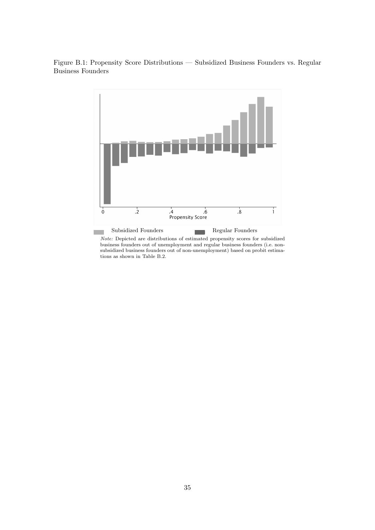Figure B.1: Propensity Score Distributions — Subsidized Business Founders vs. Regular Business Founders